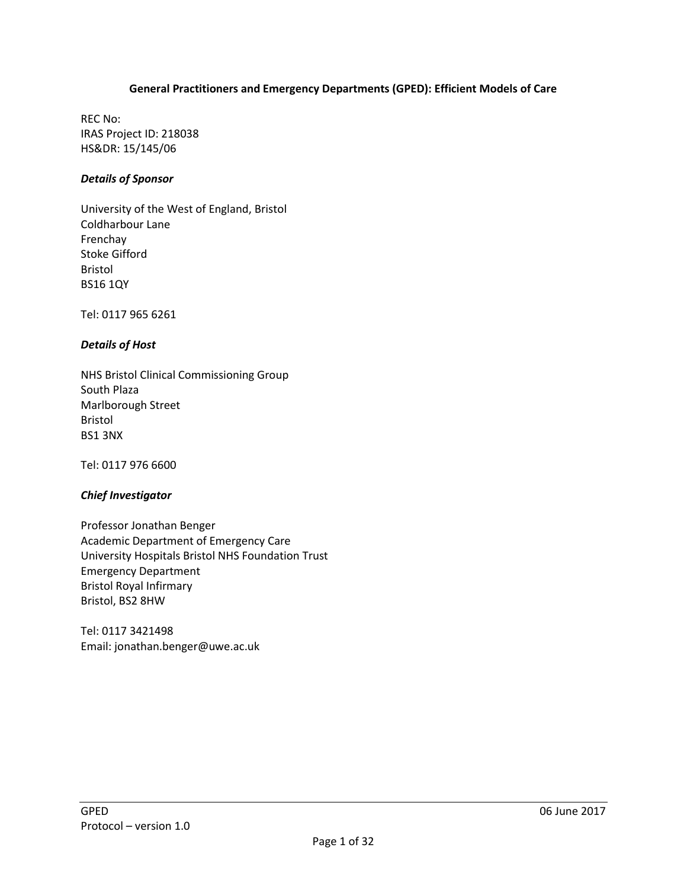#### **General Practitioners and Emergency Departments (GPED): Efficient Models of Care**

REC No: IRAS Project ID: 218038 HS&DR: 15/145/06

#### *Details of Sponsor*

University of the West of England, Bristol Coldharbour Lane Frenchay Stoke Gifford Bristol BS16 1QY

Tel: 0117 965 6261

#### *Details of Host*

NHS Bristol Clinical Commissioning Group South Plaza Marlborough Street Bristol BS1 3NX

Tel: 0117 976 6600

#### *Chief Investigator*

Professor Jonathan Benger Academic Department of Emergency Care University Hospitals Bristol NHS Foundation Trust Emergency Department Bristol Royal Infirmary Bristol, BS2 8HW

Tel: 0117 3421498 Email: [jonathan.benger@uwe.ac.uk](mailto:jonathan.benger@uwe.ac.uk)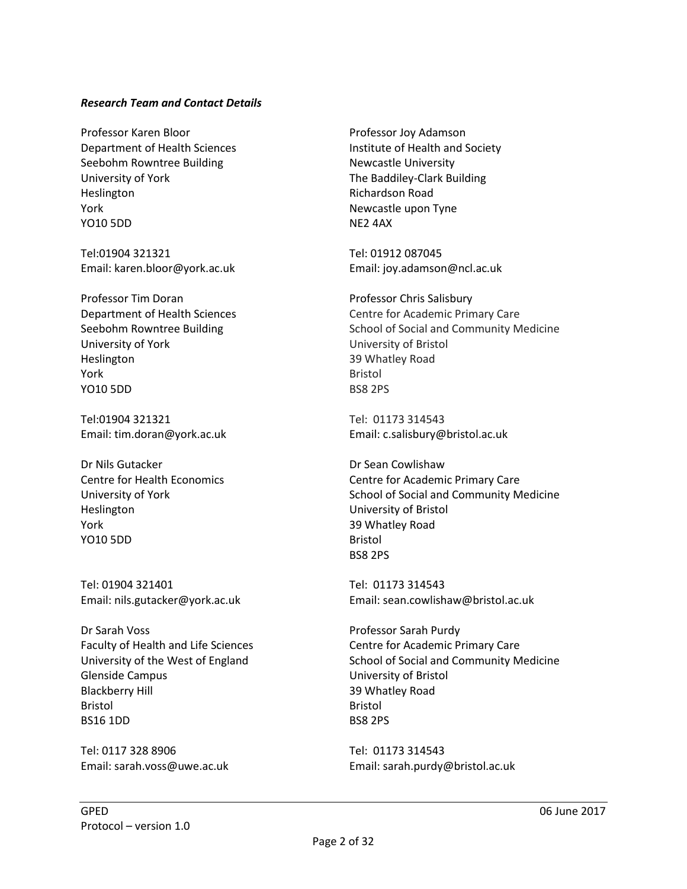#### *Research Team and Contact Details*

Professor Karen Bloor Department of Health Sciences Seebohm Rowntree Building University of York Heslington York YO10 5DD

Tel:01904 321321 Email: karen.bloor@york.ac.uk

Professor Tim Doran Department of Health Sciences Seebohm Rowntree Building University of York Heslington York YO10 5DD

Tel:01904 321321 Email: tim.doran@york.ac.uk

Dr Nils Gutacker Centre for Health Economics University of York Heslington York YO10 5DD

Tel: 01904 321401 Email: nils.gutacker@york.ac.uk

Dr Sarah Voss Faculty of Health and Life Sciences University of the West of England Glenside Campus Blackberry Hill Bristol BS16 1DD

Tel: 0117 328 8906 Email: sarah.voss@uwe.ac.uk

Professor Joy Adamson Institute of Health and Society Newcastle University The Baddiley-Clark Building Richardson Road Newcastle upon Tyne NE2 4AX

Tel: 01912 087045 Email: joy.adamson@ncl.ac.uk

Professor Chris Salisbury Centre for Academic Primary Care School of Social and Community Medicine University of Bristol 39 Whatley Road Bristol BS8 2PS

Tel: 01173 314543 Email: c.salisbury@bristol.ac.uk

Dr Sean Cowlishaw Centre for Academic Primary Care School of Social and Community Medicine University of Bristol 39 Whatley Road Bristol BS8 2PS

Tel: 01173 314543 Email: sean.cowlishaw@bristol.ac.uk

Professor Sarah Purdy Centre for Academic Primary Care School of Social and Community Medicine University of Bristol 39 Whatley Road Bristol BS8 2PS

Tel: 01173 314543 Email: sarah.purdy@bristol.ac.uk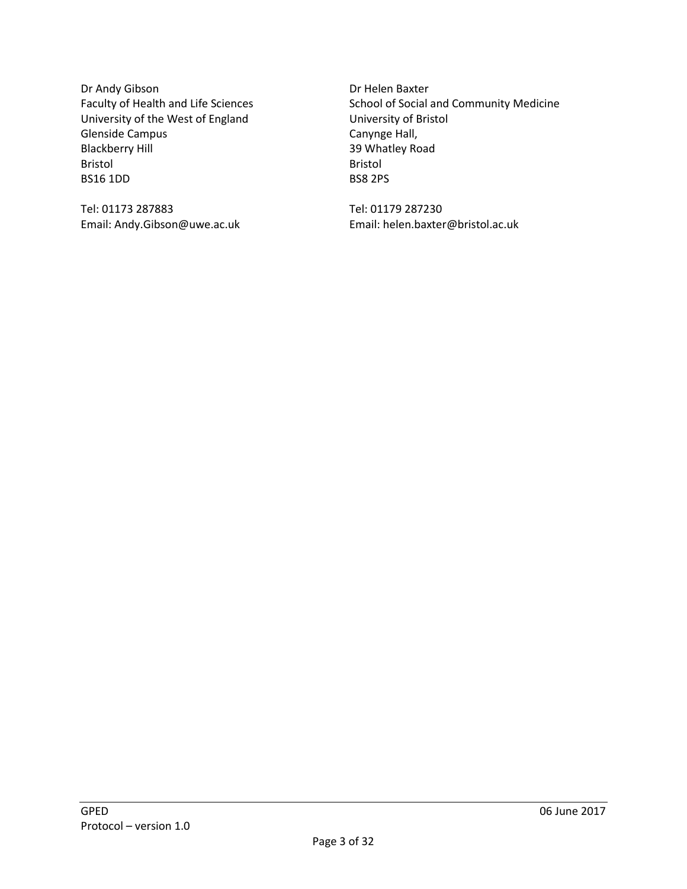Dr Andy Gibson Faculty of Health and Life Sciences University of the West of England Glenside Campus Blackberry Hill Bristol BS16 1DD

Tel: 01173 287883 Email: Andy.Gibson@uwe.ac.uk Dr Helen Baxter School of Social and Community Medicine University of Bristol Canynge Hall, 39 Whatley Road Bristol BS8 2PS

Tel: 01179 287230 Email: helen.baxter@bristol.ac.uk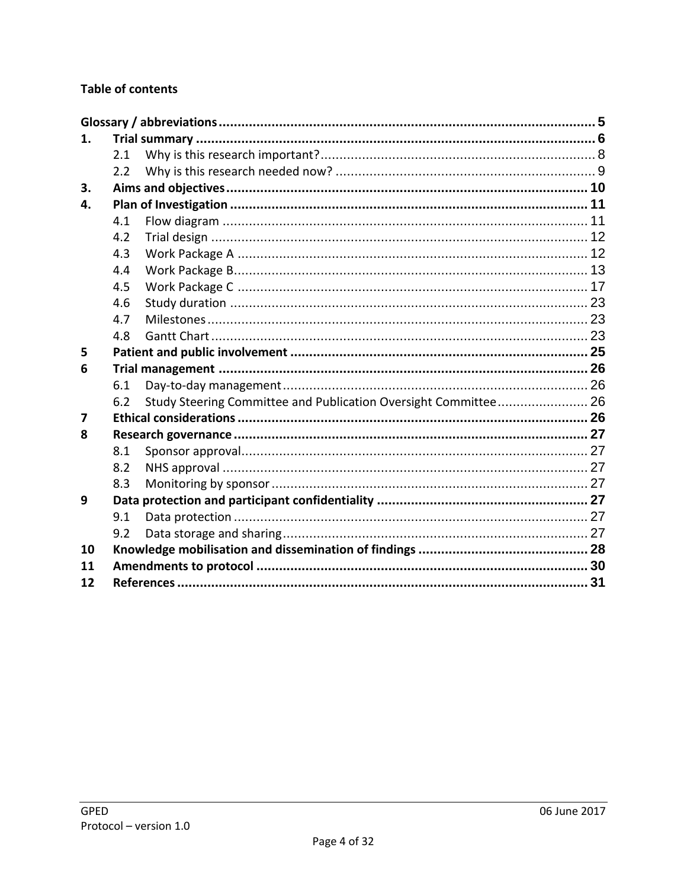# **Table of contents**

| 1.                      |     |                                                                 |  |
|-------------------------|-----|-----------------------------------------------------------------|--|
|                         | 2.1 |                                                                 |  |
|                         | 2.2 |                                                                 |  |
| 3.                      |     |                                                                 |  |
| 4.                      |     |                                                                 |  |
|                         | 4.1 |                                                                 |  |
|                         | 4.2 |                                                                 |  |
|                         | 4.3 |                                                                 |  |
|                         | 4.4 |                                                                 |  |
|                         | 4.5 |                                                                 |  |
|                         | 4.6 |                                                                 |  |
|                         | 4.7 |                                                                 |  |
|                         | 4.8 |                                                                 |  |
| 5                       |     |                                                                 |  |
| 6                       |     |                                                                 |  |
|                         | 6.1 |                                                                 |  |
|                         | 6.2 | Study Steering Committee and Publication Oversight Committee 26 |  |
| $\overline{\mathbf{z}}$ |     |                                                                 |  |
| 8                       |     |                                                                 |  |
|                         | 8.1 |                                                                 |  |
|                         | 8.2 |                                                                 |  |
|                         | 8.3 |                                                                 |  |
| 9                       |     |                                                                 |  |
|                         | 9.1 |                                                                 |  |
|                         | 9.2 |                                                                 |  |
| 10                      |     |                                                                 |  |
| 11                      |     |                                                                 |  |
| 12                      |     |                                                                 |  |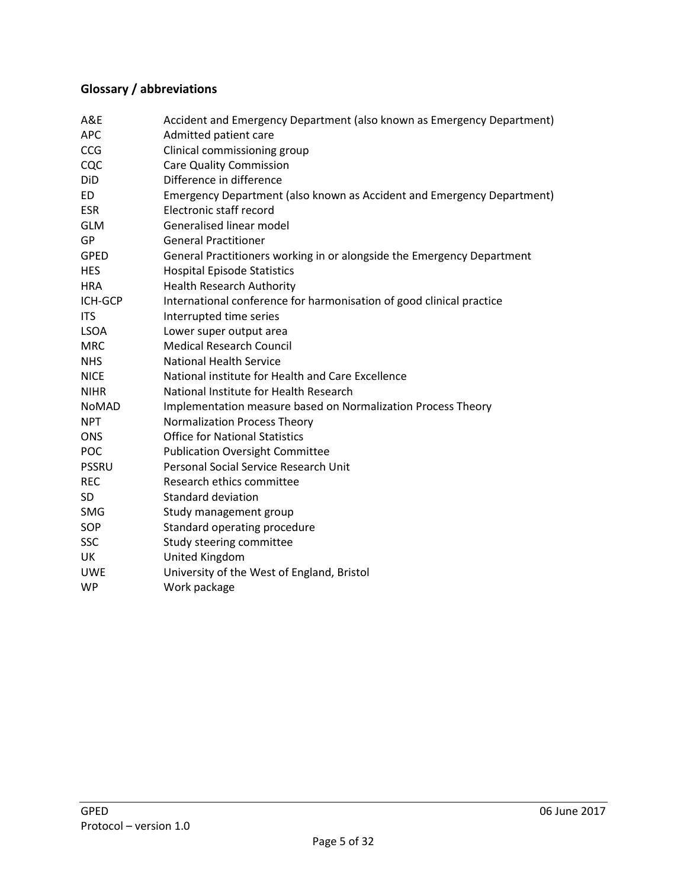# <span id="page-4-0"></span>**Glossary / abbreviations**

| A&E          | Accident and Emergency Department (also known as Emergency Department) |
|--------------|------------------------------------------------------------------------|
| <b>APC</b>   | Admitted patient care                                                  |
| <b>CCG</b>   | Clinical commissioning group                                           |
| CQC          | <b>Care Quality Commission</b>                                         |
| DiD          | Difference in difference                                               |
| <b>ED</b>    | Emergency Department (also known as Accident and Emergency Department) |
| <b>ESR</b>   | Electronic staff record                                                |
| <b>GLM</b>   | Generalised linear model                                               |
| GP           | <b>General Practitioner</b>                                            |
| <b>GPED</b>  | General Practitioners working in or alongside the Emergency Department |
| <b>HES</b>   | <b>Hospital Episode Statistics</b>                                     |
| <b>HRA</b>   | <b>Health Research Authority</b>                                       |
| ICH-GCP      | International conference for harmonisation of good clinical practice   |
| <b>ITS</b>   | Interrupted time series                                                |
| <b>LSOA</b>  | Lower super output area                                                |
| <b>MRC</b>   | <b>Medical Research Council</b>                                        |
| <b>NHS</b>   | <b>National Health Service</b>                                         |
| <b>NICE</b>  | National institute for Health and Care Excellence                      |
| <b>NIHR</b>  | National Institute for Health Research                                 |
| NoMAD        | Implementation measure based on Normalization Process Theory           |
| <b>NPT</b>   | <b>Normalization Process Theory</b>                                    |
| <b>ONS</b>   | <b>Office for National Statistics</b>                                  |
| POC          | <b>Publication Oversight Committee</b>                                 |
| <b>PSSRU</b> | Personal Social Service Research Unit                                  |
| <b>REC</b>   | Research ethics committee                                              |
| <b>SD</b>    | <b>Standard deviation</b>                                              |
| SMG          | Study management group                                                 |
| SOP          | Standard operating procedure                                           |
| <b>SSC</b>   | Study steering committee                                               |
| UK           | United Kingdom                                                         |
| <b>UWE</b>   | University of the West of England, Bristol                             |
| <b>WP</b>    | Work package                                                           |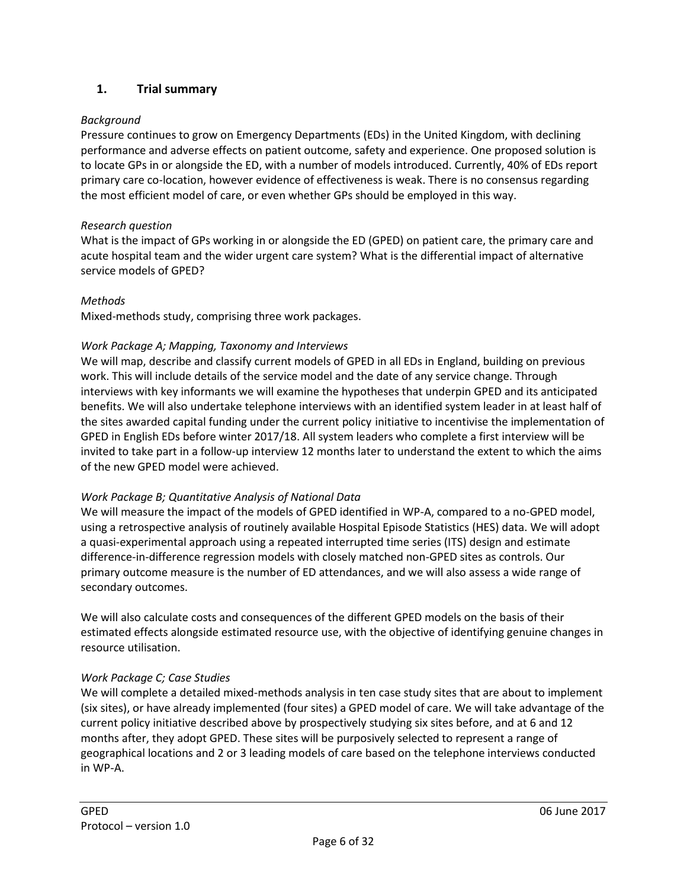### <span id="page-5-0"></span>**1. Trial summary**

#### *Background*

Pressure continues to grow on Emergency Departments (EDs) in the United Kingdom, with declining performance and adverse effects on patient outcome, safety and experience. One proposed solution is to locate GPs in or alongside the ED, with a number of models introduced. Currently, 40% of EDs report primary care co-location, however evidence of effectiveness is weak. There is no consensus regarding the most efficient model of care, or even whether GPs should be employed in this way.

#### *Research question*

What is the impact of GPs working in or alongside the ED (GPED) on patient care, the primary care and acute hospital team and the wider urgent care system? What is the differential impact of alternative service models of GPED?

#### *Methods*

Mixed-methods study, comprising three work packages.

#### *Work Package A; Mapping, Taxonomy and Interviews*

We will map, describe and classify current models of GPED in all EDs in England, building on previous work. This will include details of the service model and the date of any service change. Through interviews with key informants we will examine the hypotheses that underpin GPED and its anticipated benefits. We will also undertake telephone interviews with an identified system leader in at least half of the sites awarded capital funding under the current policy initiative to incentivise the implementation of GPED in English EDs before winter 2017/18. All system leaders who complete a first interview will be invited to take part in a follow-up interview 12 months later to understand the extent to which the aims of the new GPED model were achieved.

### *Work Package B; Quantitative Analysis of National Data*

We will measure the impact of the models of GPED identified in WP-A, compared to a no-GPED model, using a retrospective analysis of routinely available Hospital Episode Statistics (HES) data. We will adopt a quasi-experimental approach using a repeated interrupted time series (ITS) design and estimate difference-in-difference regression models with closely matched non-GPED sites as controls. Our primary outcome measure is the number of ED attendances, and we will also assess a wide range of secondary outcomes.

We will also calculate costs and consequences of the different GPED models on the basis of their estimated effects alongside estimated resource use, with the objective of identifying genuine changes in resource utilisation.

### *Work Package C; Case Studies*

We will complete a detailed mixed-methods analysis in ten case study sites that are about to implement (six sites), or have already implemented (four sites) a GPED model of care. We will take advantage of the current policy initiative described above by prospectively studying six sites before, and at 6 and 12 months after, they adopt GPED. These sites will be purposively selected to represent a range of geographical locations and 2 or 3 leading models of care based on the telephone interviews conducted in WP-A.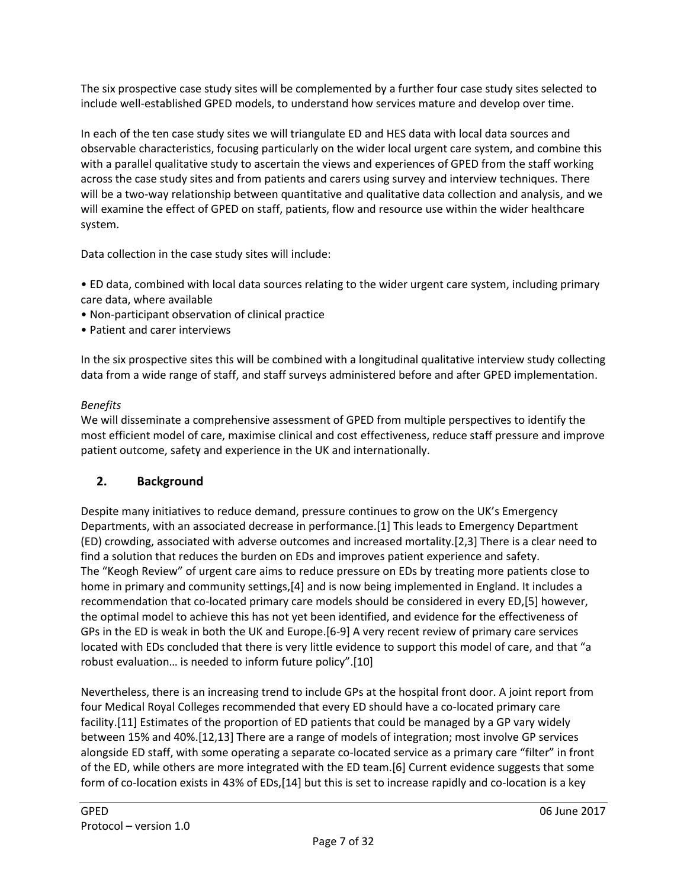The six prospective case study sites will be complemented by a further four case study sites selected to include well-established GPED models, to understand how services mature and develop over time.

In each of the ten case study sites we will triangulate ED and HES data with local data sources and observable characteristics, focusing particularly on the wider local urgent care system, and combine this with a parallel qualitative study to ascertain the views and experiences of GPED from the staff working across the case study sites and from patients and carers using survey and interview techniques. There will be a two-way relationship between quantitative and qualitative data collection and analysis, and we will examine the effect of GPED on staff, patients, flow and resource use within the wider healthcare system.

Data collection in the case study sites will include:

• ED data, combined with local data sources relating to the wider urgent care system, including primary care data, where available

- Non-participant observation of clinical practice
- Patient and carer interviews

In the six prospective sites this will be combined with a longitudinal qualitative interview study collecting data from a wide range of staff, and staff surveys administered before and after GPED implementation.

### *Benefits*

We will disseminate a comprehensive assessment of GPED from multiple perspectives to identify the most efficient model of care, maximise clinical and cost effectiveness, reduce staff pressure and improve patient outcome, safety and experience in the UK and internationally.

## **2. Background**

Despite many initiatives to reduce demand, pressure continues to grow on the UK's Emergency Departments, with an associated decrease in performance.[1] This leads to Emergency Department (ED) crowding, associated with adverse outcomes and increased mortality.[2,3] There is a clear need to find a solution that reduces the burden on EDs and improves patient experience and safety. The "Keogh Review" of urgent care aims to reduce pressure on EDs by treating more patients close to home in primary and community settings,[4] and is now being implemented in England. It includes a recommendation that co-located primary care models should be considered in every ED,[5] however, the optimal model to achieve this has not yet been identified, and evidence for the effectiveness of GPs in the ED is weak in both the UK and Europe.[6-9] A very recent review of primary care services located with EDs concluded that there is very little evidence to support this model of care, and that "a robust evaluation… is needed to inform future policy".[10]

Nevertheless, there is an increasing trend to include GPs at the hospital front door. A joint report from four Medical Royal Colleges recommended that every ED should have a co-located primary care facility.[11] Estimates of the proportion of ED patients that could be managed by a GP vary widely between 15% and 40%.[12,13] There are a range of models of integration; most involve GP services alongside ED staff, with some operating a separate co-located service as a primary care "filter" in front of the ED, while others are more integrated with the ED team.[6] Current evidence suggests that some form of co-location exists in 43% of EDs,[14] but this is set to increase rapidly and co-location is a key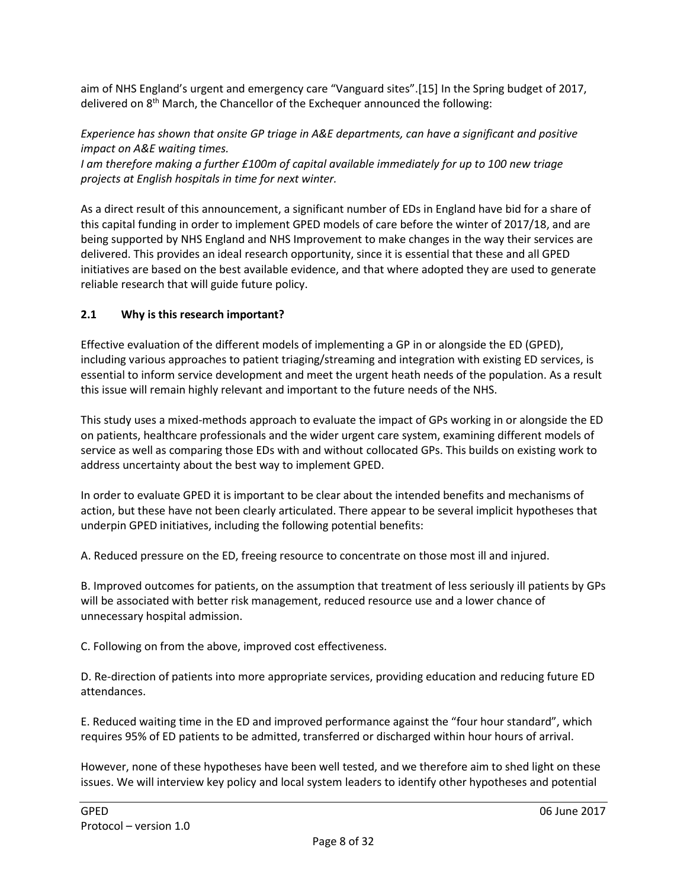aim of NHS England's urgent and emergency care "Vanguard sites".[15] In the Spring budget of 2017, delivered on 8<sup>th</sup> March, the Chancellor of the Exchequer announced the following:

*Experience has shown that onsite GP triage in A&E departments, can have a significant and positive impact on A&E waiting times.*

*I am therefore making a further £100m of capital available immediately for up to 100 new triage projects at English hospitals in time for next winter.*

As a direct result of this announcement, a significant number of EDs in England have bid for a share of this capital funding in order to implement GPED models of care before the winter of 2017/18, and are being supported by NHS England and NHS Improvement to make changes in the way their services are delivered. This provides an ideal research opportunity, since it is essential that these and all GPED initiatives are based on the best available evidence, and that where adopted they are used to generate reliable research that will guide future policy.

### <span id="page-7-0"></span>**2.1 Why is this research important?**

Effective evaluation of the different models of implementing a GP in or alongside the ED (GPED), including various approaches to patient triaging/streaming and integration with existing ED services, is essential to inform service development and meet the urgent heath needs of the population. As a result this issue will remain highly relevant and important to the future needs of the NHS.

This study uses a mixed-methods approach to evaluate the impact of GPs working in or alongside the ED on patients, healthcare professionals and the wider urgent care system, examining different models of service as well as comparing those EDs with and without collocated GPs. This builds on existing work to address uncertainty about the best way to implement GPED.

In order to evaluate GPED it is important to be clear about the intended benefits and mechanisms of action, but these have not been clearly articulated. There appear to be several implicit hypotheses that underpin GPED initiatives, including the following potential benefits:

A. Reduced pressure on the ED, freeing resource to concentrate on those most ill and injured.

B. Improved outcomes for patients, on the assumption that treatment of less seriously ill patients by GPs will be associated with better risk management, reduced resource use and a lower chance of unnecessary hospital admission.

C. Following on from the above, improved cost effectiveness.

D. Re-direction of patients into more appropriate services, providing education and reducing future ED attendances.

E. Reduced waiting time in the ED and improved performance against the "four hour standard", which requires 95% of ED patients to be admitted, transferred or discharged within hour hours of arrival.

However, none of these hypotheses have been well tested, and we therefore aim to shed light on these issues. We will interview key policy and local system leaders to identify other hypotheses and potential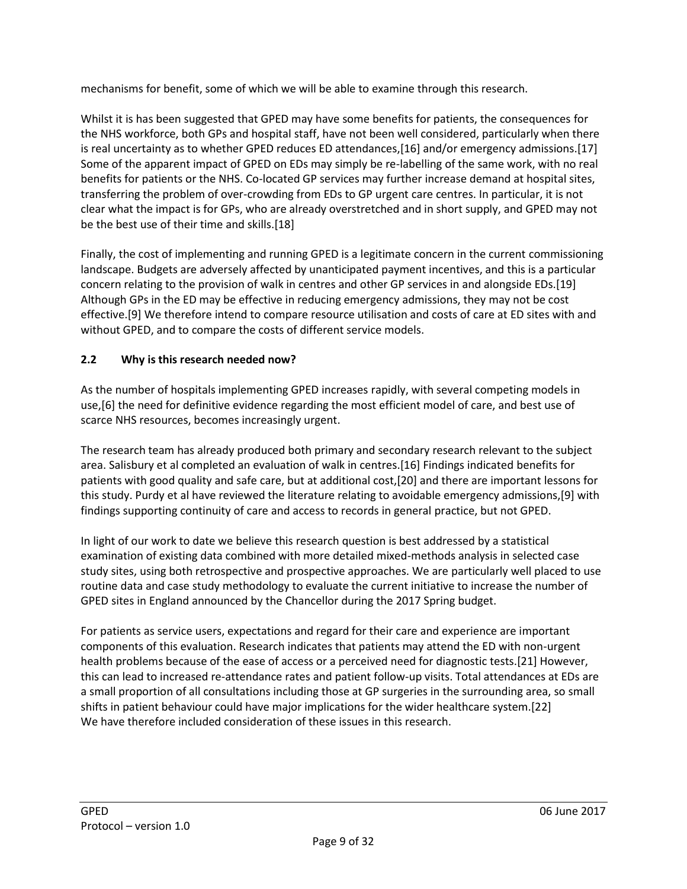mechanisms for benefit, some of which we will be able to examine through this research.

Whilst it is has been suggested that GPED may have some benefits for patients, the consequences for the NHS workforce, both GPs and hospital staff, have not been well considered, particularly when there is real uncertainty as to whether GPED reduces ED attendances,[16] and/or emergency admissions.[17] Some of the apparent impact of GPED on EDs may simply be re-labelling of the same work, with no real benefits for patients or the NHS. Co-located GP services may further increase demand at hospital sites, transferring the problem of over-crowding from EDs to GP urgent care centres. In particular, it is not clear what the impact is for GPs, who are already overstretched and in short supply, and GPED may not be the best use of their time and skills.[18]

Finally, the cost of implementing and running GPED is a legitimate concern in the current commissioning landscape. Budgets are adversely affected by unanticipated payment incentives, and this is a particular concern relating to the provision of walk in centres and other GP services in and alongside EDs.[19] Although GPs in the ED may be effective in reducing emergency admissions, they may not be cost effective.[9] We therefore intend to compare resource utilisation and costs of care at ED sites with and without GPED, and to compare the costs of different service models.

## <span id="page-8-0"></span>**2.2 Why is this research needed now?**

As the number of hospitals implementing GPED increases rapidly, with several competing models in use,[6] the need for definitive evidence regarding the most efficient model of care, and best use of scarce NHS resources, becomes increasingly urgent.

The research team has already produced both primary and secondary research relevant to the subject area. Salisbury et al completed an evaluation of walk in centres.[16] Findings indicated benefits for patients with good quality and safe care, but at additional cost,[20] and there are important lessons for this study. Purdy et al have reviewed the literature relating to avoidable emergency admissions,[9] with findings supporting continuity of care and access to records in general practice, but not GPED.

In light of our work to date we believe this research question is best addressed by a statistical examination of existing data combined with more detailed mixed-methods analysis in selected case study sites, using both retrospective and prospective approaches. We are particularly well placed to use routine data and case study methodology to evaluate the current initiative to increase the number of GPED sites in England announced by the Chancellor during the 2017 Spring budget.

For patients as service users, expectations and regard for their care and experience are important components of this evaluation. Research indicates that patients may attend the ED with non-urgent health problems because of the ease of access or a perceived need for diagnostic tests.[21] However, this can lead to increased re-attendance rates and patient follow-up visits. Total attendances at EDs are a small proportion of all consultations including those at GP surgeries in the surrounding area, so small shifts in patient behaviour could have major implications for the wider healthcare system.[22] We have therefore included consideration of these issues in this research.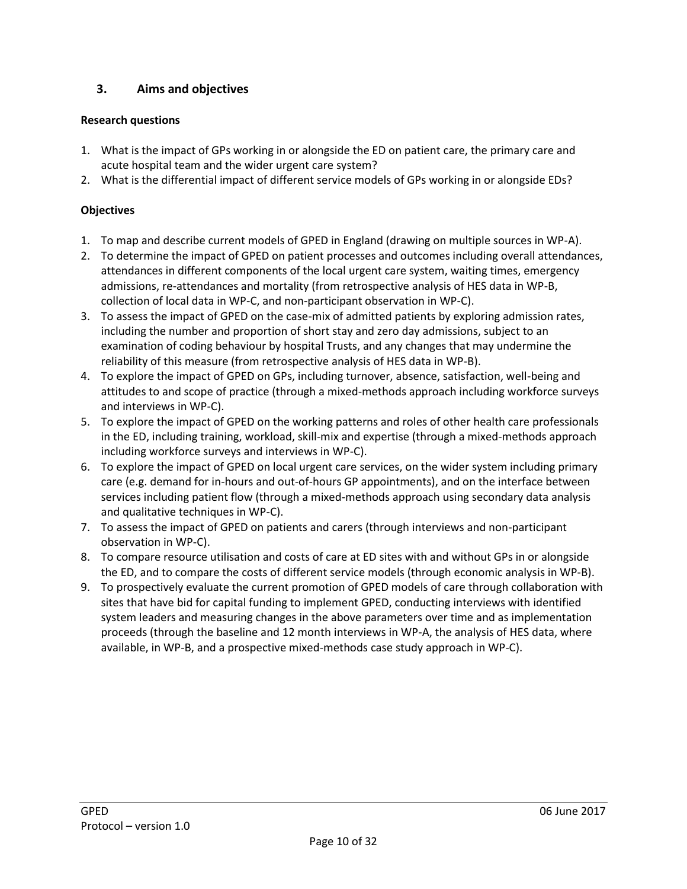## <span id="page-9-0"></span>**3. Aims and objectives**

### **Research questions**

- 1. What is the impact of GPs working in or alongside the ED on patient care, the primary care and acute hospital team and the wider urgent care system?
- 2. What is the differential impact of different service models of GPs working in or alongside EDs?

### **Objectives**

- 1. To map and describe current models of GPED in England (drawing on multiple sources in WP-A).
- 2. To determine the impact of GPED on patient processes and outcomes including overall attendances, attendances in different components of the local urgent care system, waiting times, emergency admissions, re-attendances and mortality (from retrospective analysis of HES data in WP-B, collection of local data in WP-C, and non-participant observation in WP-C).
- 3. To assess the impact of GPED on the case-mix of admitted patients by exploring admission rates, including the number and proportion of short stay and zero day admissions, subject to an examination of coding behaviour by hospital Trusts, and any changes that may undermine the reliability of this measure (from retrospective analysis of HES data in WP-B).
- 4. To explore the impact of GPED on GPs, including turnover, absence, satisfaction, well-being and attitudes to and scope of practice (through a mixed-methods approach including workforce surveys and interviews in WP-C).
- 5. To explore the impact of GPED on the working patterns and roles of other health care professionals in the ED, including training, workload, skill-mix and expertise (through a mixed-methods approach including workforce surveys and interviews in WP-C).
- 6. To explore the impact of GPED on local urgent care services, on the wider system including primary care (e.g. demand for in-hours and out-of-hours GP appointments), and on the interface between services including patient flow (through a mixed-methods approach using secondary data analysis and qualitative techniques in WP-C).
- 7. To assess the impact of GPED on patients and carers (through interviews and non-participant observation in WP-C).
- 8. To compare resource utilisation and costs of care at ED sites with and without GPs in or alongside the ED, and to compare the costs of different service models (through economic analysis in WP-B).
- 9. To prospectively evaluate the current promotion of GPED models of care through collaboration with sites that have bid for capital funding to implement GPED, conducting interviews with identified system leaders and measuring changes in the above parameters over time and as implementation proceeds (through the baseline and 12 month interviews in WP-A, the analysis of HES data, where available, in WP-B, and a prospective mixed-methods case study approach in WP-C).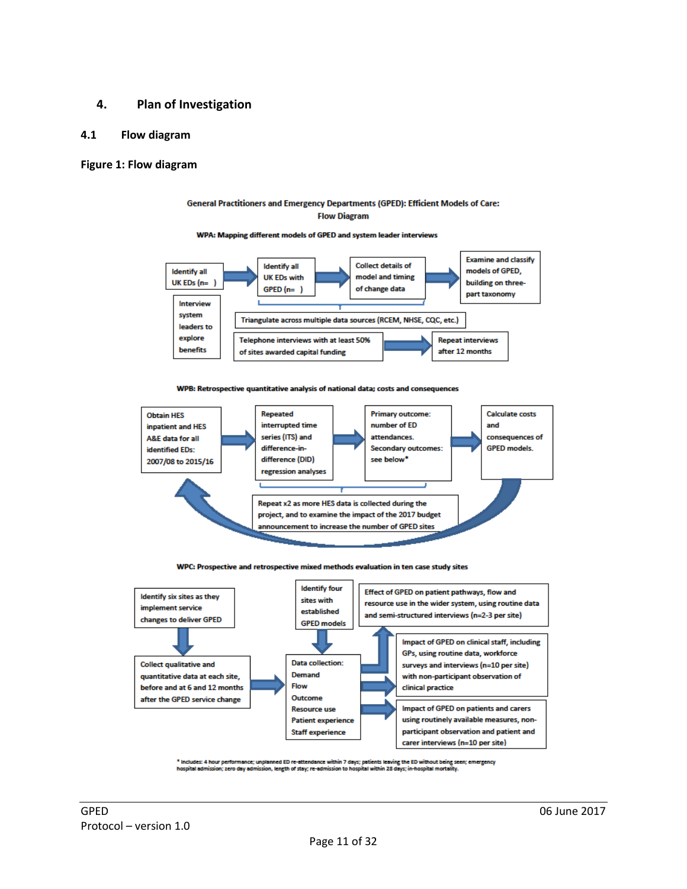#### <span id="page-10-0"></span>**4. Plan of Investigation**

#### <span id="page-10-1"></span>**4.1 Flow diagram**

#### **Figure 1: Flow diagram**

#### General Practitioners and Emergency Departments (GPED): Efficient Models of Care: **Flow Diagram**

#### WPA: Mapping different models of GPED and system leader interviews



#### WPB: Retrospective quantitative analysis of national data; costs and consequences



#### WPC: Prospective and retrospective mixed methods evaluation in ten case study sites



Includes: 4 hour performance; unplanned ED re-attendance within 7 days; patients leaving the ED without being seen; emergency<br>ospital admission; zero day admission, length of stay; re-admission to hospital within 28 days;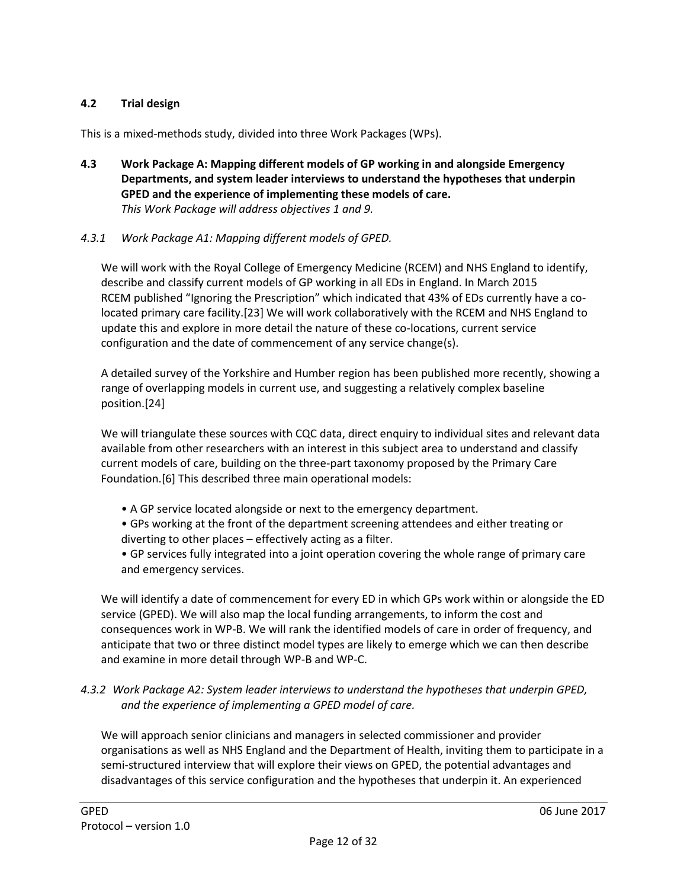### <span id="page-11-0"></span>**4.2 Trial design**

This is a mixed-methods study, divided into three Work Packages (WPs).

<span id="page-11-1"></span>**4.3 Work Package A: Mapping different models of GP working in and alongside Emergency Departments, and system leader interviews to understand the hypotheses that underpin GPED and the experience of implementing these models of care.** *This Work Package will address objectives 1 and 9.*

### *4.3.1 Work Package A1: Mapping different models of GPED.*

We will work with the Royal College of Emergency Medicine (RCEM) and NHS England to identify, describe and classify current models of GP working in all EDs in England. In March 2015 RCEM published "Ignoring the Prescription" which indicated that 43% of EDs currently have a colocated primary care facility.[23] We will work collaboratively with the RCEM and NHS England to update this and explore in more detail the nature of these co-locations, current service configuration and the date of commencement of any service change(s).

A detailed survey of the Yorkshire and Humber region has been published more recently, showing a range of overlapping models in current use, and suggesting a relatively complex baseline position.[24]

We will triangulate these sources with CQC data, direct enquiry to individual sites and relevant data available from other researchers with an interest in this subject area to understand and classify current models of care, building on the three-part taxonomy proposed by the Primary Care Foundation.[6] This described three main operational models:

• A GP service located alongside or next to the emergency department.

• GPs working at the front of the department screening attendees and either treating or diverting to other places – effectively acting as a filter.

• GP services fully integrated into a joint operation covering the whole range of primary care and emergency services.

We will identify a date of commencement for every ED in which GPs work within or alongside the ED service (GPED). We will also map the local funding arrangements, to inform the cost and consequences work in WP-B. We will rank the identified models of care in order of frequency, and anticipate that two or three distinct model types are likely to emerge which we can then describe and examine in more detail through WP-B and WP-C.

#### *4.3.2 Work Package A2: System leader interviews to understand the hypotheses that underpin GPED, and the experience of implementing a GPED model of care.*

We will approach senior clinicians and managers in selected commissioner and provider organisations as well as NHS England and the Department of Health, inviting them to participate in a semi-structured interview that will explore their views on GPED, the potential advantages and disadvantages of this service configuration and the hypotheses that underpin it. An experienced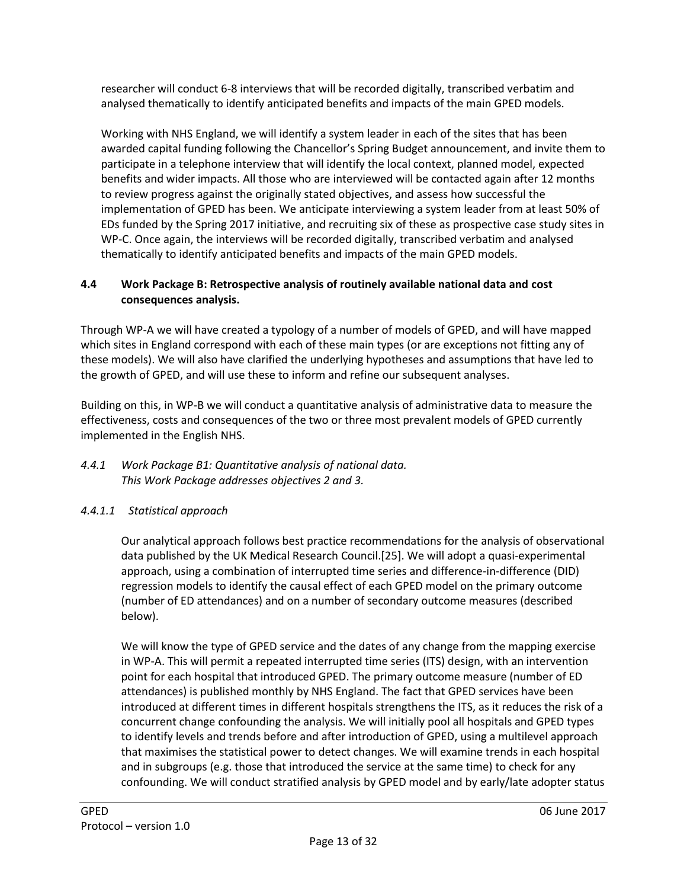researcher will conduct 6-8 interviews that will be recorded digitally, transcribed verbatim and analysed thematically to identify anticipated benefits and impacts of the main GPED models.

Working with NHS England, we will identify a system leader in each of the sites that has been awarded capital funding following the Chancellor's Spring Budget announcement, and invite them to participate in a telephone interview that will identify the local context, planned model, expected benefits and wider impacts. All those who are interviewed will be contacted again after 12 months to review progress against the originally stated objectives, and assess how successful the implementation of GPED has been. We anticipate interviewing a system leader from at least 50% of EDs funded by the Spring 2017 initiative, and recruiting six of these as prospective case study sites in WP-C. Once again, the interviews will be recorded digitally, transcribed verbatim and analysed thematically to identify anticipated benefits and impacts of the main GPED models.

### <span id="page-12-0"></span>**4.4 Work Package B: Retrospective analysis of routinely available national data and cost consequences analysis.**

Through WP-A we will have created a typology of a number of models of GPED, and will have mapped which sites in England correspond with each of these main types (or are exceptions not fitting any of these models). We will also have clarified the underlying hypotheses and assumptions that have led to the growth of GPED, and will use these to inform and refine our subsequent analyses.

Building on this, in WP-B we will conduct a quantitative analysis of administrative data to measure the effectiveness, costs and consequences of the two or three most prevalent models of GPED currently implemented in the English NHS.

### *4.4.1 Work Package B1: Quantitative analysis of national data. This Work Package addresses objectives 2 and 3.*

## *4.4.1.1 Statistical approach*

Our analytical approach follows best practice recommendations for the analysis of observational data published by the UK Medical Research Council.[25]. We will adopt a quasi-experimental approach, using a combination of interrupted time series and difference-in-difference (DID) regression models to identify the causal effect of each GPED model on the primary outcome (number of ED attendances) and on a number of secondary outcome measures (described below).

We will know the type of GPED service and the dates of any change from the mapping exercise in WP-A. This will permit a repeated interrupted time series (ITS) design, with an intervention point for each hospital that introduced GPED. The primary outcome measure (number of ED attendances) is published monthly by NHS England. The fact that GPED services have been introduced at different times in different hospitals strengthens the ITS, as it reduces the risk of a concurrent change confounding the analysis. We will initially pool all hospitals and GPED types to identify levels and trends before and after introduction of GPED, using a multilevel approach that maximises the statistical power to detect changes. We will examine trends in each hospital and in subgroups (e.g. those that introduced the service at the same time) to check for any confounding. We will conduct stratified analysis by GPED model and by early/late adopter status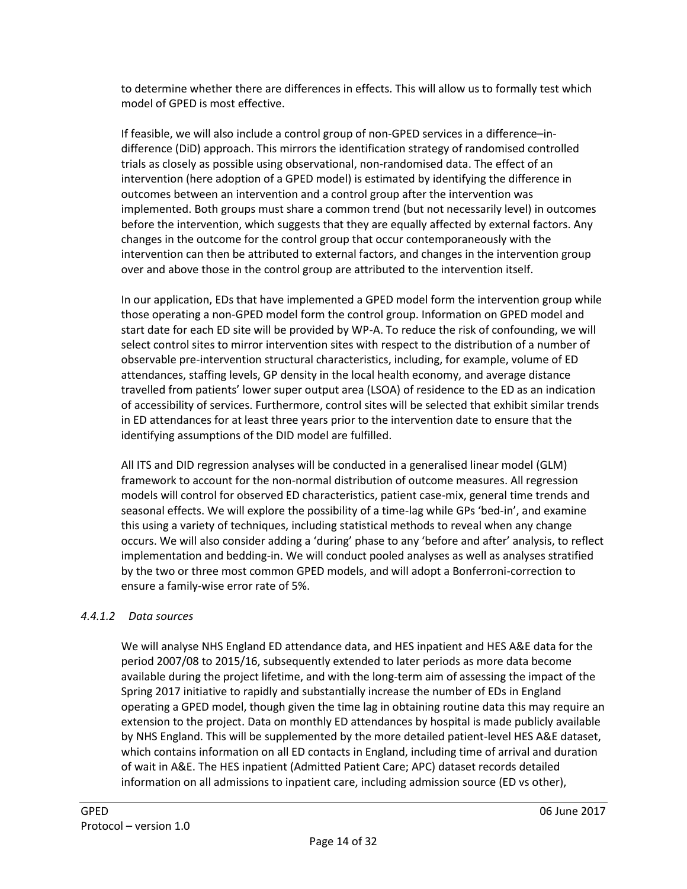to determine whether there are differences in effects. This will allow us to formally test which model of GPED is most effective.

If feasible, we will also include a control group of non-GPED services in a difference–indifference (DiD) approach. This mirrors the identification strategy of randomised controlled trials as closely as possible using observational, non-randomised data. The effect of an intervention (here adoption of a GPED model) is estimated by identifying the difference in outcomes between an intervention and a control group after the intervention was implemented. Both groups must share a common trend (but not necessarily level) in outcomes before the intervention, which suggests that they are equally affected by external factors. Any changes in the outcome for the control group that occur contemporaneously with the intervention can then be attributed to external factors, and changes in the intervention group over and above those in the control group are attributed to the intervention itself.

In our application, EDs that have implemented a GPED model form the intervention group while those operating a non-GPED model form the control group. Information on GPED model and start date for each ED site will be provided by WP-A. To reduce the risk of confounding, we will select control sites to mirror intervention sites with respect to the distribution of a number of observable pre-intervention structural characteristics, including, for example, volume of ED attendances, staffing levels, GP density in the local health economy, and average distance travelled from patients' lower super output area (LSOA) of residence to the ED as an indication of accessibility of services. Furthermore, control sites will be selected that exhibit similar trends in ED attendances for at least three years prior to the intervention date to ensure that the identifying assumptions of the DID model are fulfilled.

All ITS and DID regression analyses will be conducted in a generalised linear model (GLM) framework to account for the non-normal distribution of outcome measures. All regression models will control for observed ED characteristics, patient case-mix, general time trends and seasonal effects. We will explore the possibility of a time-lag while GPs 'bed-in', and examine this using a variety of techniques, including statistical methods to reveal when any change occurs. We will also consider adding a 'during' phase to any 'before and after' analysis, to reflect implementation and bedding-in. We will conduct pooled analyses as well as analyses stratified by the two or three most common GPED models, and will adopt a Bonferroni-correction to ensure a family-wise error rate of 5%.

### *4.4.1.2 Data sources*

We will analyse NHS England ED attendance data, and HES inpatient and HES A&E data for the period 2007/08 to 2015/16, subsequently extended to later periods as more data become available during the project lifetime, and with the long-term aim of assessing the impact of the Spring 2017 initiative to rapidly and substantially increase the number of EDs in England operating a GPED model, though given the time lag in obtaining routine data this may require an extension to the project. Data on monthly ED attendances by hospital is made publicly available by NHS England. This will be supplemented by the more detailed patient-level HES A&E dataset, which contains information on all ED contacts in England, including time of arrival and duration of wait in A&E. The HES inpatient (Admitted Patient Care; APC) dataset records detailed information on all admissions to inpatient care, including admission source (ED vs other),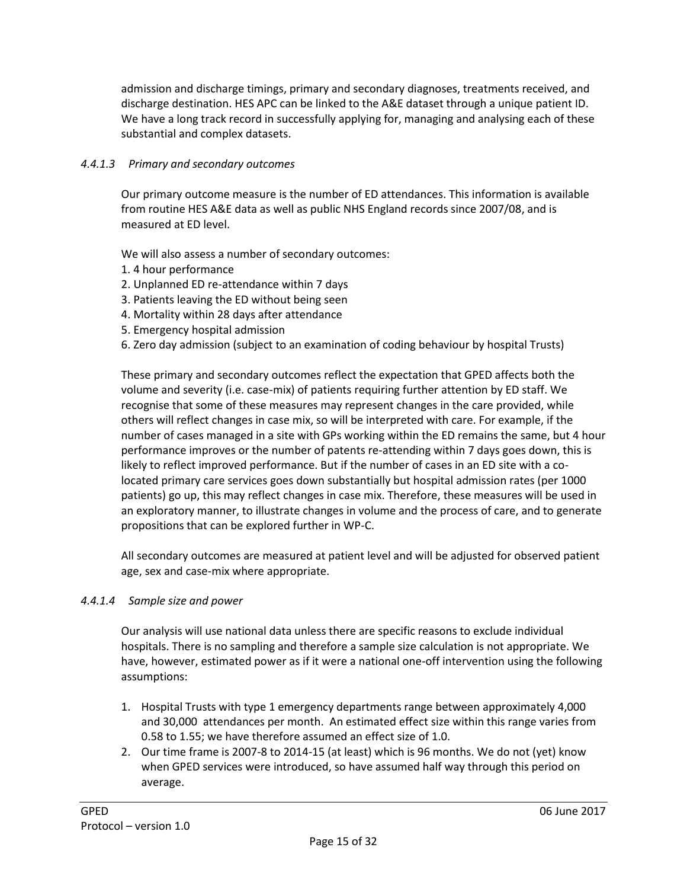admission and discharge timings, primary and secondary diagnoses, treatments received, and discharge destination. HES APC can be linked to the A&E dataset through a unique patient ID. We have a long track record in successfully applying for, managing and analysing each of these substantial and complex datasets.

### *4.4.1.3 Primary and secondary outcomes*

Our primary outcome measure is the number of ED attendances. This information is available from routine HES A&E data as well as public NHS England records since 2007/08, and is measured at ED level.

We will also assess a number of secondary outcomes:

- 1. 4 hour performance
- 2. Unplanned ED re-attendance within 7 days
- 3. Patients leaving the ED without being seen
- 4. Mortality within 28 days after attendance
- 5. Emergency hospital admission
- 6. Zero day admission (subject to an examination of coding behaviour by hospital Trusts)

These primary and secondary outcomes reflect the expectation that GPED affects both the volume and severity (i.e. case-mix) of patients requiring further attention by ED staff. We recognise that some of these measures may represent changes in the care provided, while others will reflect changes in case mix, so will be interpreted with care. For example, if the number of cases managed in a site with GPs working within the ED remains the same, but 4 hour performance improves or the number of patents re-attending within 7 days goes down, this is likely to reflect improved performance. But if the number of cases in an ED site with a colocated primary care services goes down substantially but hospital admission rates (per 1000 patients) go up, this may reflect changes in case mix. Therefore, these measures will be used in an exploratory manner, to illustrate changes in volume and the process of care, and to generate propositions that can be explored further in WP-C.

All secondary outcomes are measured at patient level and will be adjusted for observed patient age, sex and case-mix where appropriate.

#### *4.4.1.4 Sample size and power*

Our analysis will use national data unless there are specific reasons to exclude individual hospitals. There is no sampling and therefore a sample size calculation is not appropriate. We have, however, estimated power as if it were a national one-off intervention using the following assumptions:

- 1. Hospital Trusts with type 1 emergency departments range between approximately 4,000 and 30,000 attendances per month. An estimated effect size within this range varies from 0.58 to 1.55; we have therefore assumed an effect size of 1.0.
- 2. Our time frame is 2007-8 to 2014-15 (at least) which is 96 months. We do not (yet) know when GPED services were introduced, so have assumed half way through this period on average.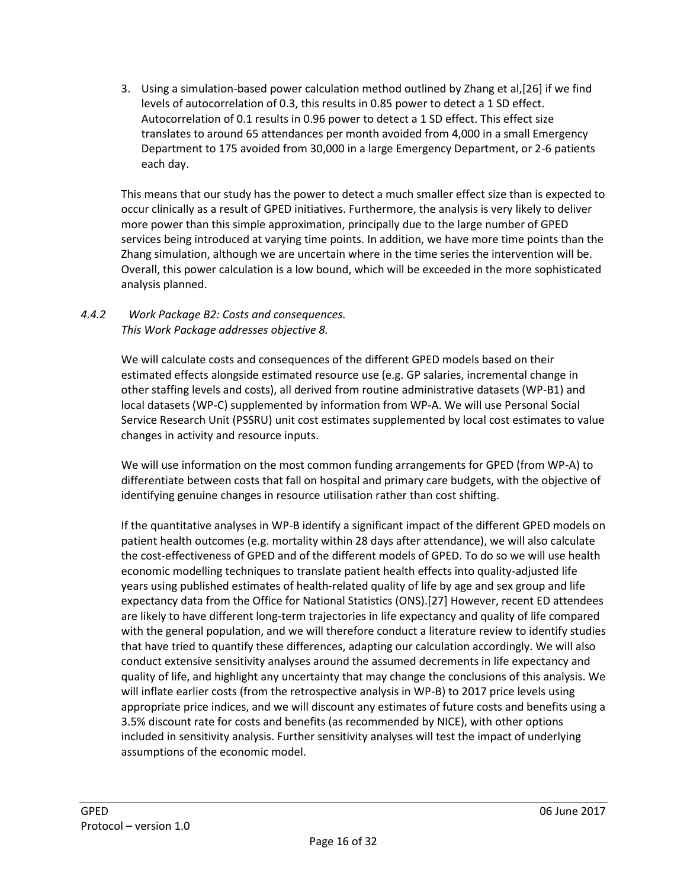3. Using a simulation-based power calculation method outlined by Zhang et al,[26] if we find levels of autocorrelation of 0.3, this results in 0.85 power to detect a 1 SD effect. Autocorrelation of 0.1 results in 0.96 power to detect a 1 SD effect. This effect size translates to around 65 attendances per month avoided from 4,000 in a small Emergency Department to 175 avoided from 30,000 in a large Emergency Department, or 2-6 patients each day.

This means that our study has the power to detect a much smaller effect size than is expected to occur clinically as a result of GPED initiatives. Furthermore, the analysis is very likely to deliver more power than this simple approximation, principally due to the large number of GPED services being introduced at varying time points. In addition, we have more time points than the Zhang simulation, although we are uncertain where in the time series the intervention will be. Overall, this power calculation is a low bound, which will be exceeded in the more sophisticated analysis planned.

### *4.4.2 Work Package B2: Costs and consequences. This Work Package addresses objective 8.*

We will calculate costs and consequences of the different GPED models based on their estimated effects alongside estimated resource use (e.g. GP salaries, incremental change in other staffing levels and costs), all derived from routine administrative datasets (WP-B1) and local datasets (WP-C) supplemented by information from WP-A. We will use Personal Social Service Research Unit (PSSRU) unit cost estimates supplemented by local cost estimates to value changes in activity and resource inputs.

We will use information on the most common funding arrangements for GPED (from WP-A) to differentiate between costs that fall on hospital and primary care budgets, with the objective of identifying genuine changes in resource utilisation rather than cost shifting.

If the quantitative analyses in WP-B identify a significant impact of the different GPED models on patient health outcomes (e.g. mortality within 28 days after attendance), we will also calculate the cost-effectiveness of GPED and of the different models of GPED. To do so we will use health economic modelling techniques to translate patient health effects into quality-adjusted life years using published estimates of health-related quality of life by age and sex group and life expectancy data from the Office for National Statistics (ONS).[27] However, recent ED attendees are likely to have different long-term trajectories in life expectancy and quality of life compared with the general population, and we will therefore conduct a literature review to identify studies that have tried to quantify these differences, adapting our calculation accordingly. We will also conduct extensive sensitivity analyses around the assumed decrements in life expectancy and quality of life, and highlight any uncertainty that may change the conclusions of this analysis. We will inflate earlier costs (from the retrospective analysis in WP-B) to 2017 price levels using appropriate price indices, and we will discount any estimates of future costs and benefits using a 3.5% discount rate for costs and benefits (as recommended by NICE), with other options included in sensitivity analysis. Further sensitivity analyses will test the impact of underlying assumptions of the economic model.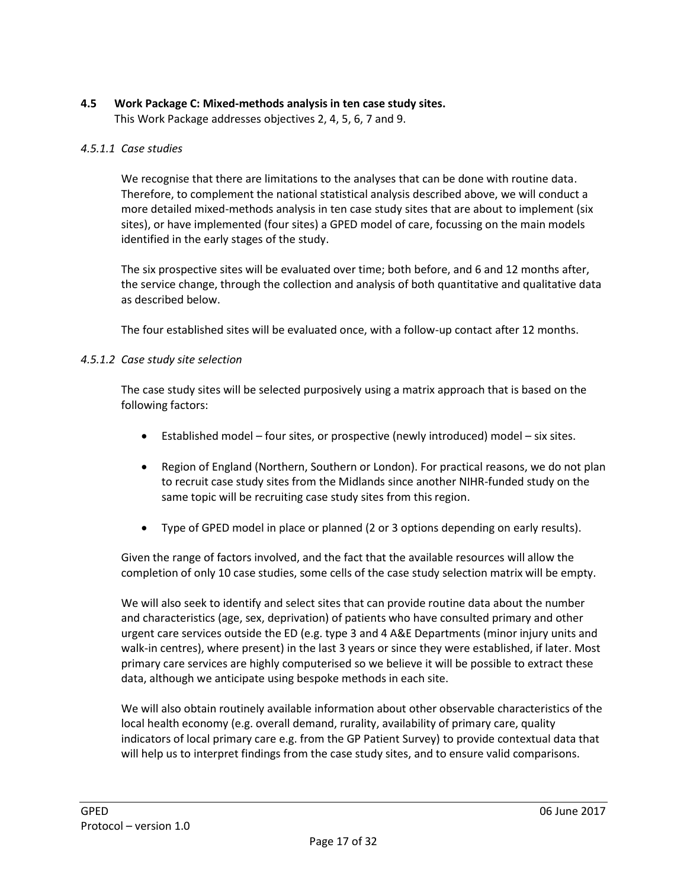## <span id="page-16-0"></span>**4.5 Work Package C: Mixed-methods analysis in ten case study sites.**

This Work Package addresses objectives 2, 4, 5, 6, 7 and 9.

#### *4.5.1.1 Case studies*

We recognise that there are limitations to the analyses that can be done with routine data. Therefore, to complement the national statistical analysis described above, we will conduct a more detailed mixed-methods analysis in ten case study sites that are about to implement (six sites), or have implemented (four sites) a GPED model of care, focussing on the main models identified in the early stages of the study.

The six prospective sites will be evaluated over time; both before, and 6 and 12 months after, the service change, through the collection and analysis of both quantitative and qualitative data as described below.

The four established sites will be evaluated once, with a follow-up contact after 12 months.

#### *4.5.1.2 Case study site selection*

The case study sites will be selected purposively using a matrix approach that is based on the following factors:

- Established model four sites, or prospective (newly introduced) model six sites.
- Region of England (Northern, Southern or London). For practical reasons, we do not plan to recruit case study sites from the Midlands since another NIHR-funded study on the same topic will be recruiting case study sites from this region.
- Type of GPED model in place or planned (2 or 3 options depending on early results).

Given the range of factors involved, and the fact that the available resources will allow the completion of only 10 case studies, some cells of the case study selection matrix will be empty.

We will also seek to identify and select sites that can provide routine data about the number and characteristics (age, sex, deprivation) of patients who have consulted primary and other urgent care services outside the ED (e.g. type 3 and 4 A&E Departments (minor injury units and walk-in centres), where present) in the last 3 years or since they were established, if later. Most primary care services are highly computerised so we believe it will be possible to extract these data, although we anticipate using bespoke methods in each site.

We will also obtain routinely available information about other observable characteristics of the local health economy (e.g. overall demand, rurality, availability of primary care, quality indicators of local primary care e.g. from the GP Patient Survey) to provide contextual data that will help us to interpret findings from the case study sites, and to ensure valid comparisons.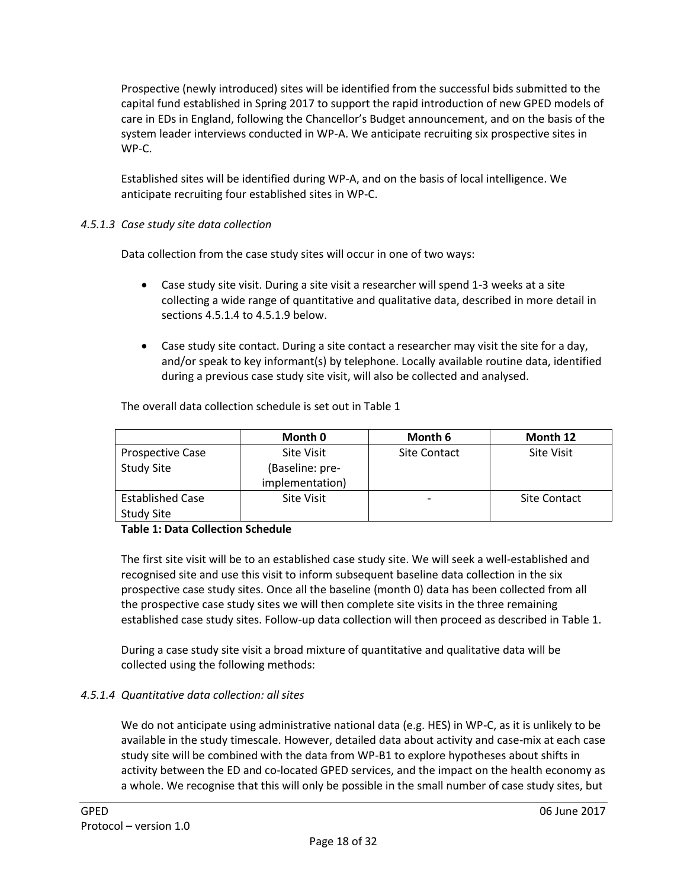Prospective (newly introduced) sites will be identified from the successful bids submitted to the capital fund established in Spring 2017 to support the rapid introduction of new GPED models of care in EDs in England, following the Chancellor's Budget announcement, and on the basis of the system leader interviews conducted in WP-A. We anticipate recruiting six prospective sites in WP-C.

Established sites will be identified during WP-A, and on the basis of local intelligence. We anticipate recruiting four established sites in WP-C.

### *4.5.1.3 Case study site data collection*

Data collection from the case study sites will occur in one of two ways:

- Case study site visit. During a site visit a researcher will spend 1-3 weeks at a site collecting a wide range of quantitative and qualitative data, described in more detail in sections 4.5.1.4 to 4.5.1.9 below.
- Case study site contact. During a site contact a researcher may visit the site for a day, and/or speak to key informant(s) by telephone. Locally available routine data, identified during a previous case study site visit, will also be collected and analysed.

|                         | Month 0           | Month 6             | Month 12            |
|-------------------------|-------------------|---------------------|---------------------|
| <b>Prospective Case</b> | <b>Site Visit</b> | <b>Site Contact</b> | <b>Site Visit</b>   |
| <b>Study Site</b>       | (Baseline: pre-   |                     |                     |
|                         | implementation)   |                     |                     |
| <b>Established Case</b> | <b>Site Visit</b> |                     | <b>Site Contact</b> |
| <b>Study Site</b>       |                   |                     |                     |

The overall data collection schedule is set out in Table 1

#### **Table 1: Data Collection Schedule**

The first site visit will be to an established case study site. We will seek a well-established and recognised site and use this visit to inform subsequent baseline data collection in the six prospective case study sites. Once all the baseline (month 0) data has been collected from all the prospective case study sites we will then complete site visits in the three remaining established case study sites. Follow-up data collection will then proceed as described in Table 1.

During a case study site visit a broad mixture of quantitative and qualitative data will be collected using the following methods:

### *4.5.1.4 Quantitative data collection: all sites*

We do not anticipate using administrative national data (e.g. HES) in WP-C, as it is unlikely to be available in the study timescale. However, detailed data about activity and case-mix at each case study site will be combined with the data from WP-B1 to explore hypotheses about shifts in activity between the ED and co-located GPED services, and the impact on the health economy as a whole. We recognise that this will only be possible in the small number of case study sites, but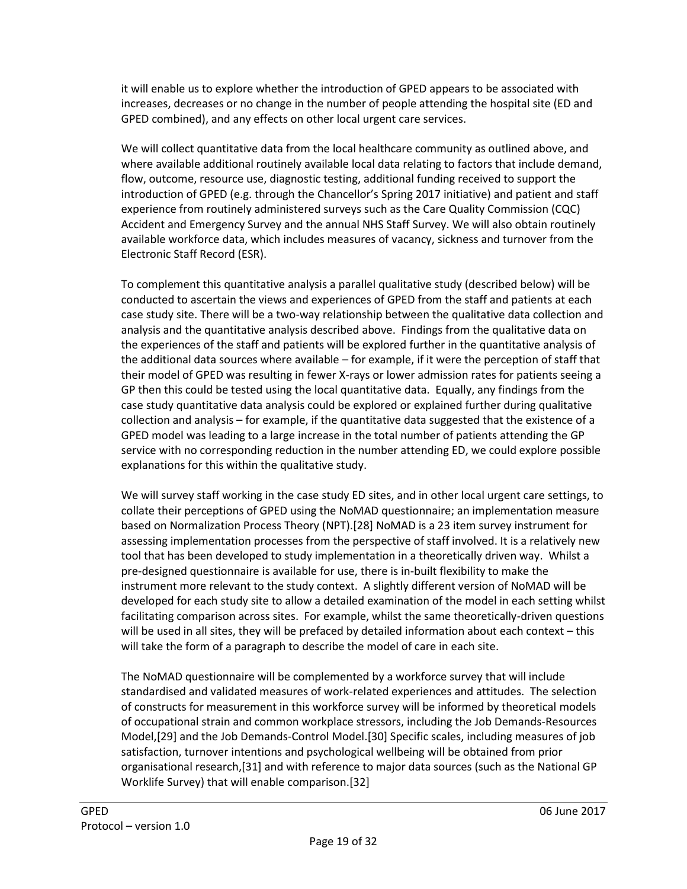it will enable us to explore whether the introduction of GPED appears to be associated with increases, decreases or no change in the number of people attending the hospital site (ED and GPED combined), and any effects on other local urgent care services.

We will collect quantitative data from the local healthcare community as outlined above, and where available additional routinely available local data relating to factors that include demand, flow, outcome, resource use, diagnostic testing, additional funding received to support the introduction of GPED (e.g. through the Chancellor's Spring 2017 initiative) and patient and staff experience from routinely administered surveys such as the Care Quality Commission (CQC) Accident and Emergency Survey and the annual NHS Staff Survey. We will also obtain routinely available workforce data, which includes measures of vacancy, sickness and turnover from the Electronic Staff Record (ESR).

To complement this quantitative analysis a parallel qualitative study (described below) will be conducted to ascertain the views and experiences of GPED from the staff and patients at each case study site. There will be a two-way relationship between the qualitative data collection and analysis and the quantitative analysis described above. Findings from the qualitative data on the experiences of the staff and patients will be explored further in the quantitative analysis of the additional data sources where available – for example, if it were the perception of staff that their model of GPED was resulting in fewer X-rays or lower admission rates for patients seeing a GP then this could be tested using the local quantitative data. Equally, any findings from the case study quantitative data analysis could be explored or explained further during qualitative collection and analysis – for example, if the quantitative data suggested that the existence of a GPED model was leading to a large increase in the total number of patients attending the GP service with no corresponding reduction in the number attending ED, we could explore possible explanations for this within the qualitative study.

We will survey staff working in the case study ED sites, and in other local urgent care settings, to collate their perceptions of GPED using the NoMAD questionnaire; an implementation measure based on Normalization Process Theory (NPT).[28] NoMAD is a 23 item survey instrument for assessing implementation processes from the perspective of staff involved. It is a relatively new tool that has been developed to study implementation in a theoretically driven way. Whilst a pre-designed questionnaire is available for use, there is in-built flexibility to make the instrument more relevant to the study context. A slightly different version of NoMAD will be developed for each study site to allow a detailed examination of the model in each setting whilst facilitating comparison across sites. For example, whilst the same theoretically-driven questions will be used in all sites, they will be prefaced by detailed information about each context – this will take the form of a paragraph to describe the model of care in each site.

The NoMAD questionnaire will be complemented by a workforce survey that will include standardised and validated measures of work-related experiences and attitudes. The selection of constructs for measurement in this workforce survey will be informed by theoretical models of occupational strain and common workplace stressors, including the Job Demands-Resources Model,[29] and the Job Demands-Control Model.[30] Specific scales, including measures of job satisfaction, turnover intentions and psychological wellbeing will be obtained from prior organisational research,[31] and with reference to major data sources (such as the National GP Worklife Survey) that will enable comparison.[32]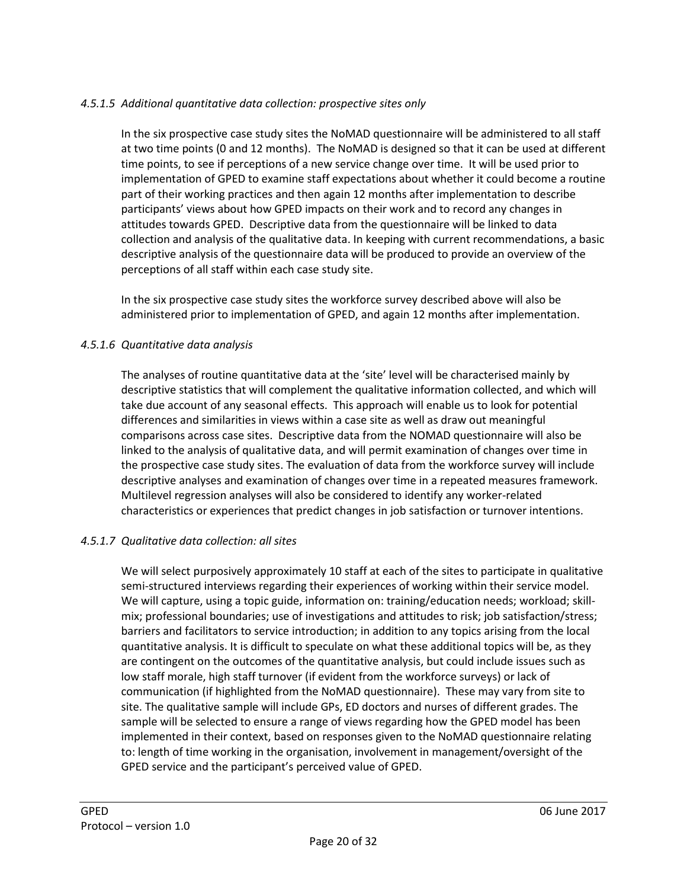### *4.5.1.5 Additional quantitative data collection: prospective sites only*

In the six prospective case study sites the NoMAD questionnaire will be administered to all staff at two time points (0 and 12 months). The NoMAD is designed so that it can be used at different time points, to see if perceptions of a new service change over time. It will be used prior to implementation of GPED to examine staff expectations about whether it could become a routine part of their working practices and then again 12 months after implementation to describe participants' views about how GPED impacts on their work and to record any changes in attitudes towards GPED. Descriptive data from the questionnaire will be linked to data collection and analysis of the qualitative data. In keeping with current recommendations, a basic descriptive analysis of the questionnaire data will be produced to provide an overview of the perceptions of all staff within each case study site.

In the six prospective case study sites the workforce survey described above will also be administered prior to implementation of GPED, and again 12 months after implementation.

#### *4.5.1.6 Quantitative data analysis*

The analyses of routine quantitative data at the 'site' level will be characterised mainly by descriptive statistics that will complement the qualitative information collected, and which will take due account of any seasonal effects. This approach will enable us to look for potential differences and similarities in views within a case site as well as draw out meaningful comparisons across case sites. Descriptive data from the NOMAD questionnaire will also be linked to the analysis of qualitative data, and will permit examination of changes over time in the prospective case study sites. The evaluation of data from the workforce survey will include descriptive analyses and examination of changes over time in a repeated measures framework. Multilevel regression analyses will also be considered to identify any worker-related characteristics or experiences that predict changes in job satisfaction or turnover intentions.

#### *4.5.1.7 Qualitative data collection: all sites*

We will select purposively approximately 10 staff at each of the sites to participate in qualitative semi-structured interviews regarding their experiences of working within their service model. We will capture, using a topic guide, information on: training/education needs; workload; skillmix; professional boundaries; use of investigations and attitudes to risk; job satisfaction/stress; barriers and facilitators to service introduction; in addition to any topics arising from the local quantitative analysis. It is difficult to speculate on what these additional topics will be, as they are contingent on the outcomes of the quantitative analysis, but could include issues such as low staff morale, high staff turnover (if evident from the workforce surveys) or lack of communication (if highlighted from the NoMAD questionnaire). These may vary from site to site. The qualitative sample will include GPs, ED doctors and nurses of different grades. The sample will be selected to ensure a range of views regarding how the GPED model has been implemented in their context, based on responses given to the NoMAD questionnaire relating to: length of time working in the organisation, involvement in management/oversight of the GPED service and the participant's perceived value of GPED.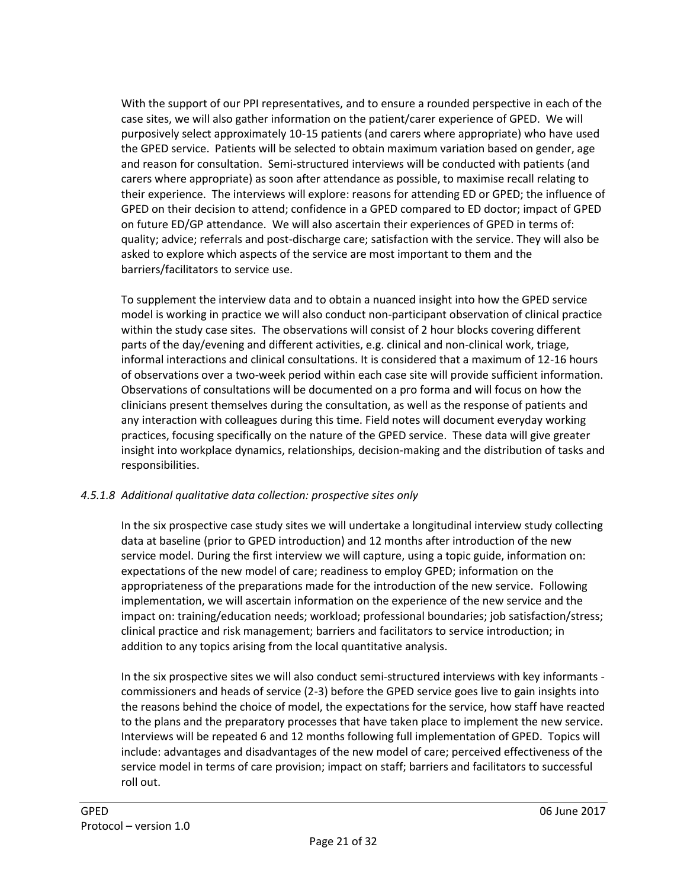With the support of our PPI representatives, and to ensure a rounded perspective in each of the case sites, we will also gather information on the patient/carer experience of GPED. We will purposively select approximately 10-15 patients (and carers where appropriate) who have used the GPED service. Patients will be selected to obtain maximum variation based on gender, age and reason for consultation. Semi-structured interviews will be conducted with patients (and carers where appropriate) as soon after attendance as possible, to maximise recall relating to their experience. The interviews will explore: reasons for attending ED or GPED; the influence of GPED on their decision to attend; confidence in a GPED compared to ED doctor; impact of GPED on future ED/GP attendance. We will also ascertain their experiences of GPED in terms of: quality; advice; referrals and post-discharge care; satisfaction with the service. They will also be asked to explore which aspects of the service are most important to them and the barriers/facilitators to service use.

To supplement the interview data and to obtain a nuanced insight into how the GPED service model is working in practice we will also conduct non-participant observation of clinical practice within the study case sites. The observations will consist of 2 hour blocks covering different parts of the day/evening and different activities, e.g. clinical and non-clinical work, triage, informal interactions and clinical consultations. It is considered that a maximum of 12-16 hours of observations over a two-week period within each case site will provide sufficient information. Observations of consultations will be documented on a pro forma and will focus on how the clinicians present themselves during the consultation, as well as the response of patients and any interaction with colleagues during this time. Field notes will document everyday working practices, focusing specifically on the nature of the GPED service. These data will give greater insight into workplace dynamics, relationships, decision-making and the distribution of tasks and responsibilities.

### *4.5.1.8 Additional qualitative data collection: prospective sites only*

In the six prospective case study sites we will undertake a longitudinal interview study collecting data at baseline (prior to GPED introduction) and 12 months after introduction of the new service model. During the first interview we will capture, using a topic guide, information on: expectations of the new model of care; readiness to employ GPED; information on the appropriateness of the preparations made for the introduction of the new service. Following implementation, we will ascertain information on the experience of the new service and the impact on: training/education needs; workload; professional boundaries; job satisfaction/stress; clinical practice and risk management; barriers and facilitators to service introduction; in addition to any topics arising from the local quantitative analysis.

In the six prospective sites we will also conduct semi-structured interviews with key informants commissioners and heads of service (2-3) before the GPED service goes live to gain insights into the reasons behind the choice of model, the expectations for the service, how staff have reacted to the plans and the preparatory processes that have taken place to implement the new service. Interviews will be repeated 6 and 12 months following full implementation of GPED. Topics will include: advantages and disadvantages of the new model of care; perceived effectiveness of the service model in terms of care provision; impact on staff; barriers and facilitators to successful roll out.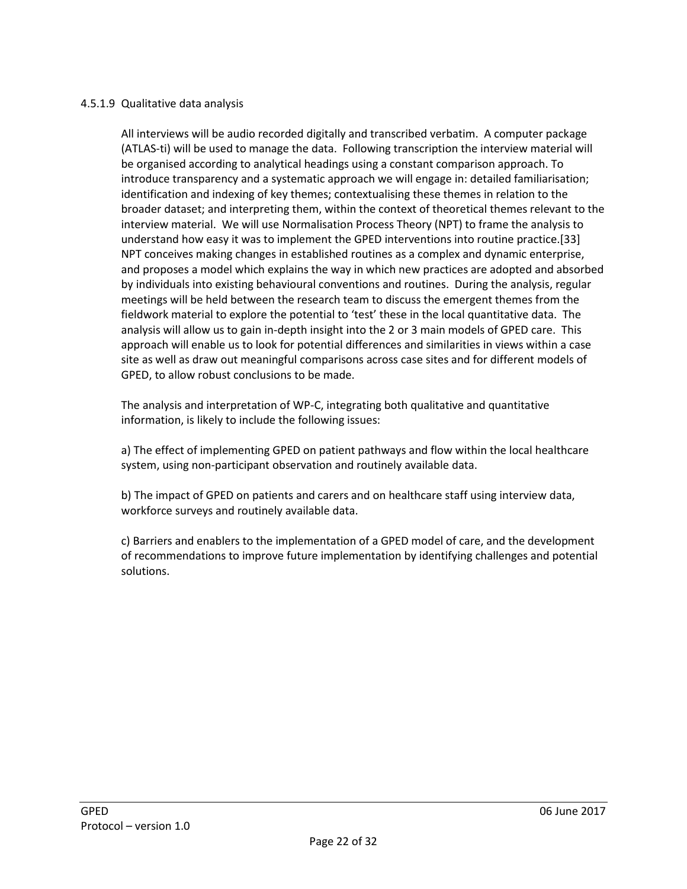#### 4.5.1.9 Qualitative data analysis

All interviews will be audio recorded digitally and transcribed verbatim. A computer package (ATLAS-ti) will be used to manage the data. Following transcription the interview material will be organised according to analytical headings using a constant comparison approach. To introduce transparency and a systematic approach we will engage in: detailed familiarisation; identification and indexing of key themes; contextualising these themes in relation to the broader dataset; and interpreting them, within the context of theoretical themes relevant to the interview material. We will use Normalisation Process Theory (NPT) to frame the analysis to understand how easy it was to implement the GPED interventions into routine practice.[33] NPT conceives making changes in established routines as a complex and dynamic enterprise, and proposes a model which explains the way in which new practices are adopted and absorbed by individuals into existing behavioural conventions and routines. During the analysis, regular meetings will be held between the research team to discuss the emergent themes from the fieldwork material to explore the potential to 'test' these in the local quantitative data. The analysis will allow us to gain in-depth insight into the 2 or 3 main models of GPED care. This approach will enable us to look for potential differences and similarities in views within a case site as well as draw out meaningful comparisons across case sites and for different models of GPED, to allow robust conclusions to be made.

The analysis and interpretation of WP-C, integrating both qualitative and quantitative information, is likely to include the following issues:

a) The effect of implementing GPED on patient pathways and flow within the local healthcare system, using non-participant observation and routinely available data.

b) The impact of GPED on patients and carers and on healthcare staff using interview data, workforce surveys and routinely available data.

<span id="page-21-0"></span>c) Barriers and enablers to the implementation of a GPED model of care, and the development of recommendations to improve future implementation by identifying challenges and potential solutions.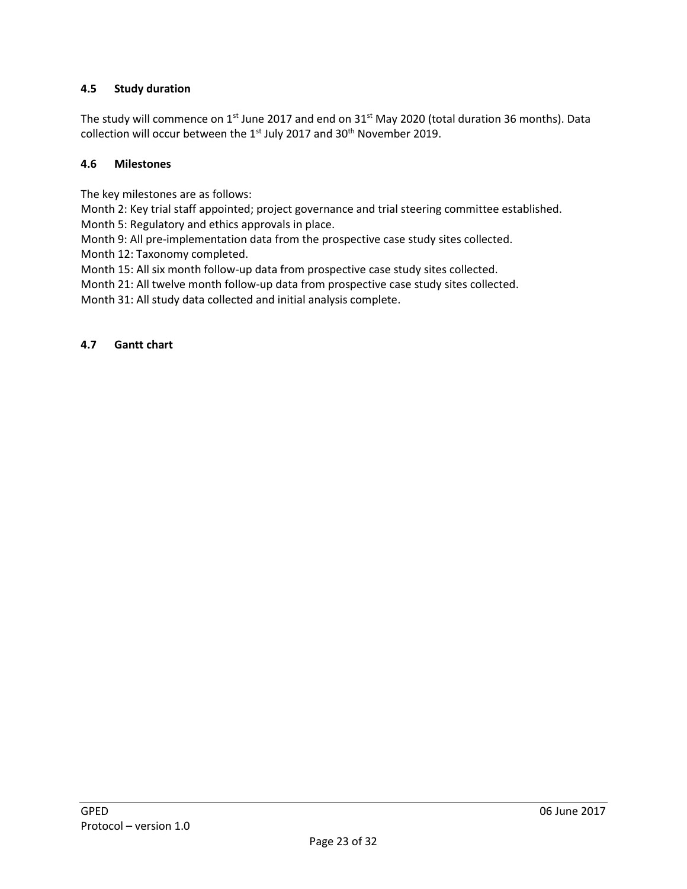### **4.5 Study duration**

The study will commence on 1<sup>st</sup> June 2017 and end on 31<sup>st</sup> May 2020 (total duration 36 months). Data collection will occur between the  $1<sup>st</sup>$  July 2017 and 30<sup>th</sup> November 2019.

### **4.6 Milestones**

The key milestones are as follows:

Month 2: Key trial staff appointed; project governance and trial steering committee established.

Month 5: Regulatory and ethics approvals in place.

Month 9: All pre-implementation data from the prospective case study sites collected.

Month 12: Taxonomy completed.

Month 15: All six month follow-up data from prospective case study sites collected.

Month 21: All twelve month follow-up data from prospective case study sites collected.

Month 31: All study data collected and initial analysis complete.

#### **4.7 Gantt chart**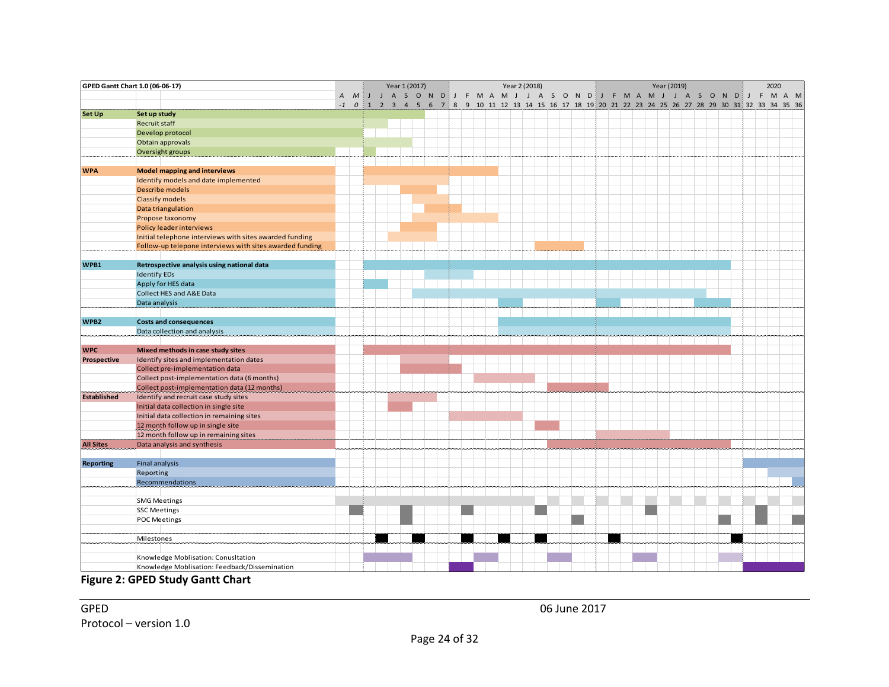|                    | GPED Gantt Chart 1.0 (06-06-17)                                                      |  |  | Year 1 (2017) |  |  |  |  | Year 2 (2018) |  |  |  |  | Year (2019) |  |  |  | 2020 |                                                                                                         |
|--------------------|--------------------------------------------------------------------------------------|--|--|---------------|--|--|--|--|---------------|--|--|--|--|-------------|--|--|--|------|---------------------------------------------------------------------------------------------------------|
|                    |                                                                                      |  |  |               |  |  |  |  |               |  |  |  |  |             |  |  |  |      | A M I J A S O N D I J F M A M J J A S O N D I J F M A M J J A S O N D I F M A M                         |
| Set Up             | Set up study                                                                         |  |  |               |  |  |  |  |               |  |  |  |  |             |  |  |  |      | -1 0 1 2 3 4 5 6 7 8 9 10 11 12 13 14 15 16 17 18 19 20 21 22 23 24 25 26 27 28 29 30 31 32 33 34 35 36 |
|                    | Recruit staff                                                                        |  |  |               |  |  |  |  |               |  |  |  |  |             |  |  |  |      |                                                                                                         |
|                    | Develop protocol                                                                     |  |  |               |  |  |  |  |               |  |  |  |  |             |  |  |  |      |                                                                                                         |
|                    | Obtain approvals                                                                     |  |  |               |  |  |  |  |               |  |  |  |  |             |  |  |  |      |                                                                                                         |
|                    | Oversight groups                                                                     |  |  |               |  |  |  |  |               |  |  |  |  |             |  |  |  |      |                                                                                                         |
|                    |                                                                                      |  |  |               |  |  |  |  |               |  |  |  |  |             |  |  |  |      |                                                                                                         |
| <b>WPA</b>         | <b>Model mapping and interviews</b>                                                  |  |  |               |  |  |  |  |               |  |  |  |  |             |  |  |  |      |                                                                                                         |
|                    | Identify models and date implemented                                                 |  |  |               |  |  |  |  |               |  |  |  |  |             |  |  |  |      |                                                                                                         |
|                    | Describe models                                                                      |  |  |               |  |  |  |  |               |  |  |  |  |             |  |  |  |      |                                                                                                         |
|                    | Classify models                                                                      |  |  |               |  |  |  |  |               |  |  |  |  |             |  |  |  |      |                                                                                                         |
|                    | Data triangulation                                                                   |  |  |               |  |  |  |  |               |  |  |  |  |             |  |  |  |      |                                                                                                         |
|                    | Propose taxonomy                                                                     |  |  |               |  |  |  |  |               |  |  |  |  |             |  |  |  |      |                                                                                                         |
|                    | Policy leader interviews                                                             |  |  |               |  |  |  |  |               |  |  |  |  |             |  |  |  |      |                                                                                                         |
|                    | Initial telephone interviews with sites awarded funding                              |  |  |               |  |  |  |  |               |  |  |  |  |             |  |  |  |      |                                                                                                         |
|                    | Follow-up telepone interviews with sites awarded funding                             |  |  |               |  |  |  |  |               |  |  |  |  |             |  |  |  |      |                                                                                                         |
| WPB1               | Retrospective analysis using national data                                           |  |  |               |  |  |  |  |               |  |  |  |  |             |  |  |  |      |                                                                                                         |
|                    | <b>Identify EDs</b>                                                                  |  |  |               |  |  |  |  |               |  |  |  |  |             |  |  |  |      |                                                                                                         |
|                    | Apply for HES data                                                                   |  |  |               |  |  |  |  |               |  |  |  |  |             |  |  |  |      |                                                                                                         |
|                    | Collect HES and A&E Data                                                             |  |  |               |  |  |  |  |               |  |  |  |  |             |  |  |  |      |                                                                                                         |
|                    | Data analysis                                                                        |  |  |               |  |  |  |  |               |  |  |  |  |             |  |  |  |      |                                                                                                         |
|                    |                                                                                      |  |  |               |  |  |  |  |               |  |  |  |  |             |  |  |  |      |                                                                                                         |
| WPB2               | <b>Costs and consequences</b>                                                        |  |  |               |  |  |  |  |               |  |  |  |  |             |  |  |  |      |                                                                                                         |
|                    | Data collection and analysis                                                         |  |  |               |  |  |  |  |               |  |  |  |  |             |  |  |  |      |                                                                                                         |
|                    |                                                                                      |  |  |               |  |  |  |  |               |  |  |  |  |             |  |  |  |      |                                                                                                         |
| <b>WPC</b>         | Mixed methods in case study sites                                                    |  |  |               |  |  |  |  |               |  |  |  |  |             |  |  |  |      |                                                                                                         |
| <b>Prospective</b> | Identify sites and implementation dates                                              |  |  |               |  |  |  |  |               |  |  |  |  |             |  |  |  |      |                                                                                                         |
|                    | Collect pre-implementation data                                                      |  |  |               |  |  |  |  |               |  |  |  |  |             |  |  |  |      |                                                                                                         |
|                    | Collect post-implementation data (6 months)                                          |  |  |               |  |  |  |  |               |  |  |  |  |             |  |  |  |      |                                                                                                         |
|                    | Collect post-implementation data (12 months)                                         |  |  |               |  |  |  |  |               |  |  |  |  |             |  |  |  |      |                                                                                                         |
| <b>Established</b> | Identify and recruit case study sites                                                |  |  |               |  |  |  |  |               |  |  |  |  |             |  |  |  |      |                                                                                                         |
|                    | Initial data collection in single site<br>Initial data collection in remaining sites |  |  |               |  |  |  |  |               |  |  |  |  |             |  |  |  |      |                                                                                                         |
|                    | 12 month follow up in single site                                                    |  |  |               |  |  |  |  |               |  |  |  |  |             |  |  |  |      |                                                                                                         |
|                    | 12 month follow up in remaining sites                                                |  |  |               |  |  |  |  |               |  |  |  |  |             |  |  |  |      |                                                                                                         |
| <b>All Sites</b>   | Data analysis and synthesis                                                          |  |  |               |  |  |  |  |               |  |  |  |  |             |  |  |  |      |                                                                                                         |
|                    |                                                                                      |  |  |               |  |  |  |  |               |  |  |  |  |             |  |  |  |      |                                                                                                         |
| <b>Reporting</b>   | Final analysis                                                                       |  |  |               |  |  |  |  |               |  |  |  |  |             |  |  |  |      |                                                                                                         |
|                    | Reporting                                                                            |  |  |               |  |  |  |  |               |  |  |  |  |             |  |  |  |      |                                                                                                         |
|                    | Recommendations                                                                      |  |  |               |  |  |  |  |               |  |  |  |  |             |  |  |  |      |                                                                                                         |
|                    |                                                                                      |  |  |               |  |  |  |  |               |  |  |  |  |             |  |  |  |      |                                                                                                         |
|                    | <b>SMG Meetings</b>                                                                  |  |  |               |  |  |  |  |               |  |  |  |  |             |  |  |  |      |                                                                                                         |
|                    | <b>SSC Meetings</b>                                                                  |  |  |               |  |  |  |  |               |  |  |  |  |             |  |  |  |      |                                                                                                         |
|                    | POC Meetings                                                                         |  |  |               |  |  |  |  |               |  |  |  |  |             |  |  |  |      |                                                                                                         |
|                    |                                                                                      |  |  |               |  |  |  |  |               |  |  |  |  |             |  |  |  |      |                                                                                                         |
|                    | Milestones                                                                           |  |  |               |  |  |  |  |               |  |  |  |  |             |  |  |  |      |                                                                                                         |
|                    |                                                                                      |  |  |               |  |  |  |  |               |  |  |  |  |             |  |  |  |      |                                                                                                         |
|                    | Knowledge Moblisation: Conusltation                                                  |  |  |               |  |  |  |  |               |  |  |  |  |             |  |  |  |      |                                                                                                         |
|                    | Knowledge Moblisation: Feedback/Dissemination                                        |  |  |               |  |  |  |  |               |  |  |  |  |             |  |  |  |      |                                                                                                         |

## **Figure 2: GPED Study Gantt Chart**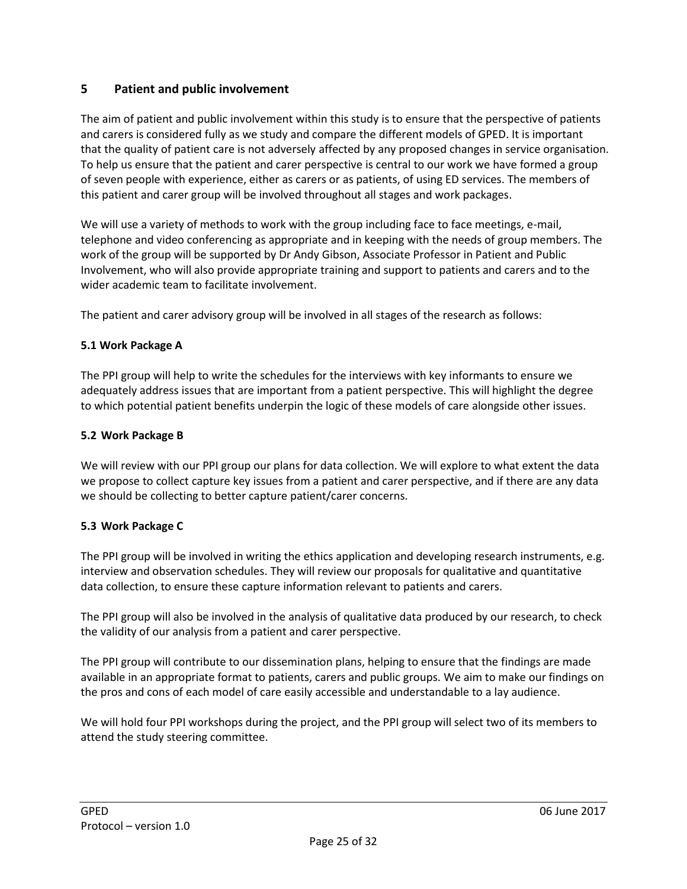### <span id="page-24-0"></span>**5 Patient and public involvement**

The aim of patient and public involvement within this study is to ensure that the perspective of patients and carers is considered fully as we study and compare the different models of GPED. It is important that the quality of patient care is not adversely affected by any proposed changes in service organisation. To help us ensure that the patient and carer perspective is central to our work we have formed a group of seven people with experience, either as carers or as patients, of using ED services. The members of this patient and carer group will be involved throughout all stages and work packages.

We will use a variety of methods to work with the group including face to face meetings, e-mail, telephone and video conferencing as appropriate and in keeping with the needs of group members. The work of the group will be supported by Dr Andy Gibson, Associate Professor in Patient and Public Involvement, who will also provide appropriate training and support to patients and carers and to the wider academic team to facilitate involvement.

The patient and carer advisory group will be involved in all stages of the research as follows:

#### **5.1 Work Package A**

The PPI group will help to write the schedules for the interviews with key informants to ensure we adequately address issues that are important from a patient perspective. This will highlight the degree to which potential patient benefits underpin the logic of these models of care alongside other issues.

#### **5.2 Work Package B**

We will review with our PPI group our plans for data collection. We will explore to what extent the data we propose to collect capture key issues from a patient and carer perspective, and if there are any data we should be collecting to better capture patient/carer concerns.

### **5.3 Work Package C**

The PPI group will be involved in writing the ethics application and developing research instruments, e.g. interview and observation schedules. They will review our proposals for qualitative and quantitative data collection, to ensure these capture information relevant to patients and carers.

The PPI group will also be involved in the analysis of qualitative data produced by our research, to check the validity of our analysis from a patient and carer perspective.

The PPI group will contribute to our dissemination plans, helping to ensure that the findings are made available in an appropriate format to patients, carers and public groups. We aim to make our findings on the pros and cons of each model of care easily accessible and understandable to a lay audience.

We will hold four PPI workshops during the project, and the PPI group will select two of its members to attend the study steering committee.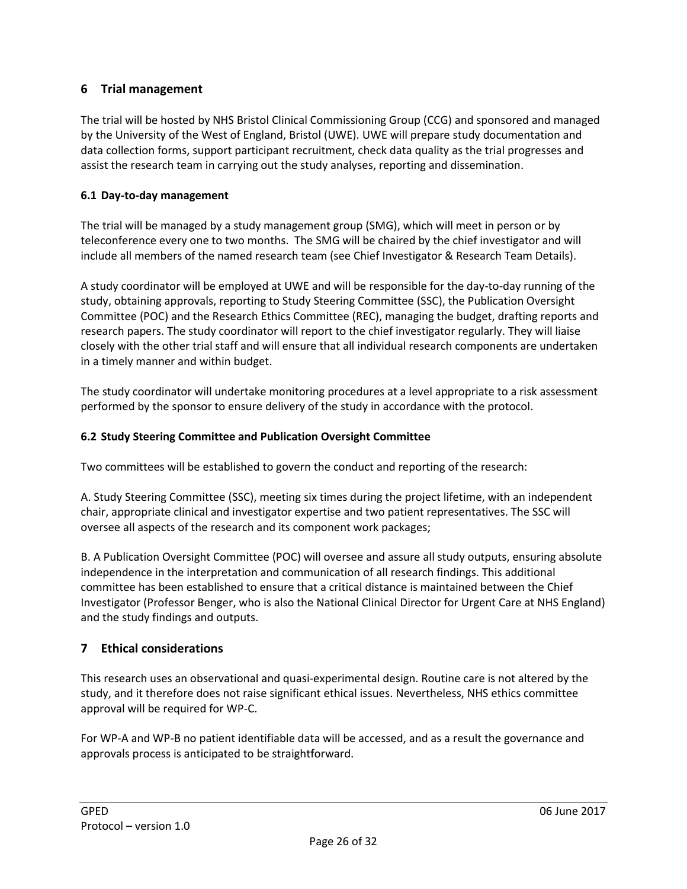## <span id="page-25-0"></span>**6 Trial management**

The trial will be hosted by NHS Bristol Clinical Commissioning Group (CCG) and sponsored and managed by the University of the West of England, Bristol (UWE). UWE will prepare study documentation and data collection forms, support participant recruitment, check data quality as the trial progresses and assist the research team in carrying out the study analyses, reporting and dissemination.

### <span id="page-25-1"></span>**6.1 Day-to-day management**

The trial will be managed by a study management group (SMG), which will meet in person or by teleconference every one to two months. The SMG will be chaired by the chief investigator and will include all members of the named research team (see Chief Investigator & Research Team Details).

A study coordinator will be employed at UWE and will be responsible for the day-to-day running of the study, obtaining approvals, reporting to Study Steering Committee (SSC), the Publication Oversight Committee (POC) and the Research Ethics Committee (REC), managing the budget, drafting reports and research papers. The study coordinator will report to the chief investigator regularly. They will liaise closely with the other trial staff and will ensure that all individual research components are undertaken in a timely manner and within budget.

The study coordinator will undertake monitoring procedures at a level appropriate to a risk assessment performed by the sponsor to ensure delivery of the study in accordance with the protocol.

### <span id="page-25-2"></span>**6.2 Study Steering Committee and Publication Oversight Committee**

Two committees will be established to govern the conduct and reporting of the research:

A. Study Steering Committee (SSC), meeting six times during the project lifetime, with an independent chair, appropriate clinical and investigator expertise and two patient representatives. The SSC will oversee all aspects of the research and its component work packages;

B. A Publication Oversight Committee (POC) will oversee and assure all study outputs, ensuring absolute independence in the interpretation and communication of all research findings. This additional committee has been established to ensure that a critical distance is maintained between the Chief Investigator (Professor Benger, who is also the National Clinical Director for Urgent Care at NHS England) and the study findings and outputs.

## <span id="page-25-3"></span>**7 Ethical considerations**

This research uses an observational and quasi-experimental design. Routine care is not altered by the study, and it therefore does not raise significant ethical issues. Nevertheless, NHS ethics committee approval will be required for WP-C.

For WP-A and WP-B no patient identifiable data will be accessed, and as a result the governance and approvals process is anticipated to be straightforward.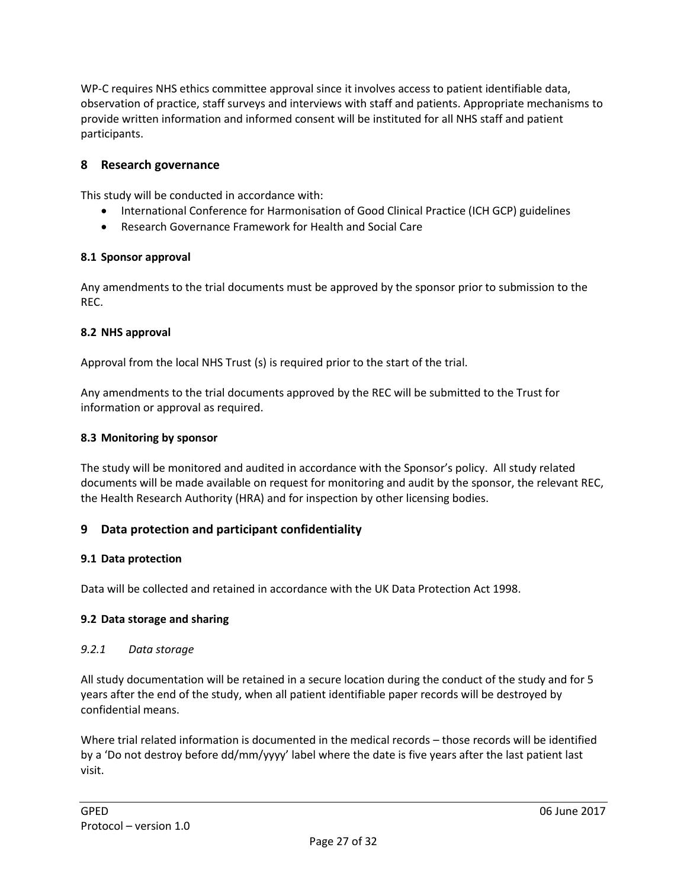WP-C requires NHS ethics committee approval since it involves access to patient identifiable data, observation of practice, staff surveys and interviews with staff and patients. Appropriate mechanisms to provide written information and informed consent will be instituted for all NHS staff and patient participants.

### <span id="page-26-0"></span>**8 Research governance**

This study will be conducted in accordance with:

- International Conference for Harmonisation of Good Clinical Practice (ICH GCP) guidelines
- Research Governance Framework for Health and Social Care

### <span id="page-26-1"></span>**8.1 Sponsor approval**

Any amendments to the trial documents must be approved by the sponsor prior to submission to the REC.

#### <span id="page-26-2"></span>**8.2 NHS approval**

Approval from the local NHS Trust (s) is required prior to the start of the trial.

Any amendments to the trial documents approved by the REC will be submitted to the Trust for information or approval as required.

#### <span id="page-26-3"></span>**8.3 Monitoring by sponsor**

The study will be monitored and audited in accordance with the Sponsor's policy. All study related documents will be made available on request for monitoring and audit by the sponsor, the relevant REC, the Health Research Authority (HRA) and for inspection by other licensing bodies.

### <span id="page-26-4"></span>**9 Data protection and participant confidentiality**

### <span id="page-26-5"></span>**9.1 Data protection**

Data will be collected and retained in accordance with the UK Data Protection Act 1998.

#### <span id="page-26-6"></span>**9.2 Data storage and sharing**

#### *9.2.1 Data storage*

All study documentation will be retained in a secure location during the conduct of the study and for 5 years after the end of the study, when all patient identifiable paper records will be destroyed by confidential means.

Where trial related information is documented in the medical records – those records will be identified by a 'Do not destroy before dd/mm/yyyy' label where the date is five years after the last patient last visit.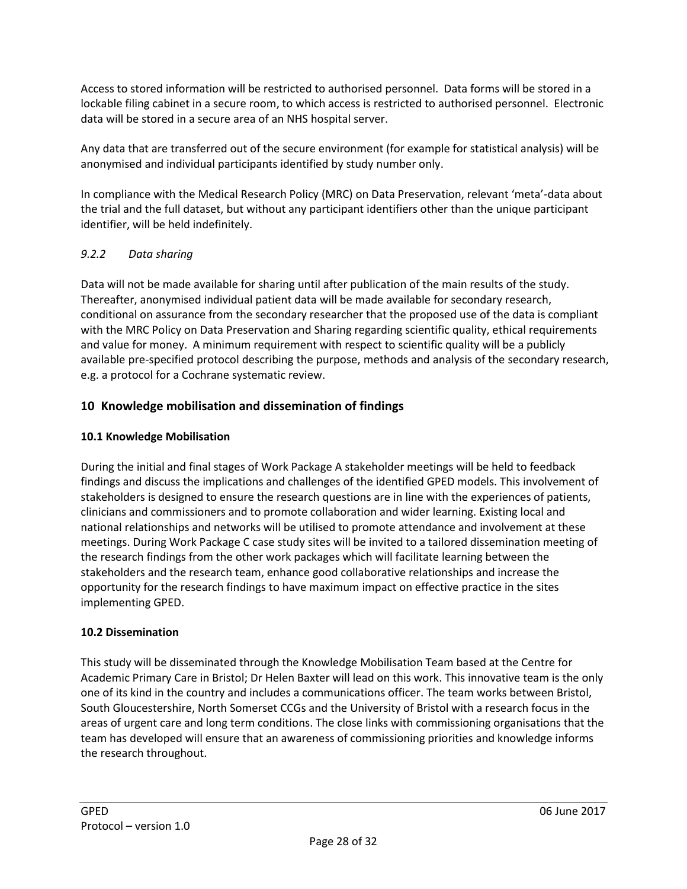Access to stored information will be restricted to authorised personnel. Data forms will be stored in a lockable filing cabinet in a secure room, to which access is restricted to authorised personnel. Electronic data will be stored in a secure area of an NHS hospital server.

Any data that are transferred out of the secure environment (for example for statistical analysis) will be anonymised and individual participants identified by study number only.

In compliance with the Medical Research Policy (MRC) on Data Preservation, relevant 'meta'-data about the trial and the full dataset, but without any participant identifiers other than the unique participant identifier, will be held indefinitely.

### *9.2.2 Data sharing*

Data will not be made available for sharing until after publication of the main results of the study. Thereafter, anonymised individual patient data will be made available for secondary research, conditional on assurance from the secondary researcher that the proposed use of the data is compliant with the MRC Policy on Data Preservation and Sharing regarding scientific quality, ethical requirements and value for money. A minimum requirement with respect to scientific quality will be a publicly available pre-specified protocol describing the purpose, methods and analysis of the secondary research, e.g. a protocol for a Cochrane systematic review.

## <span id="page-27-0"></span>**10 Knowledge mobilisation and dissemination of findings**

### **10.1 Knowledge Mobilisation**

During the initial and final stages of Work Package A stakeholder meetings will be held to feedback findings and discuss the implications and challenges of the identified GPED models. This involvement of stakeholders is designed to ensure the research questions are in line with the experiences of patients, clinicians and commissioners and to promote collaboration and wider learning. Existing local and national relationships and networks will be utilised to promote attendance and involvement at these meetings. During Work Package C case study sites will be invited to a tailored dissemination meeting of the research findings from the other work packages which will facilitate learning between the stakeholders and the research team, enhance good collaborative relationships and increase the opportunity for the research findings to have maximum impact on effective practice in the sites implementing GPED.

### **10.2 Dissemination**

This study will be disseminated through the Knowledge Mobilisation Team based at the Centre for Academic Primary Care in Bristol; Dr Helen Baxter will lead on this work. This innovative team is the only one of its kind in the country and includes a communications officer. The team works between Bristol, South Gloucestershire, North Somerset CCGs and the University of Bristol with a research focus in the areas of urgent care and long term conditions. The close links with commissioning organisations that the team has developed will ensure that an awareness of commissioning priorities and knowledge informs the research throughout.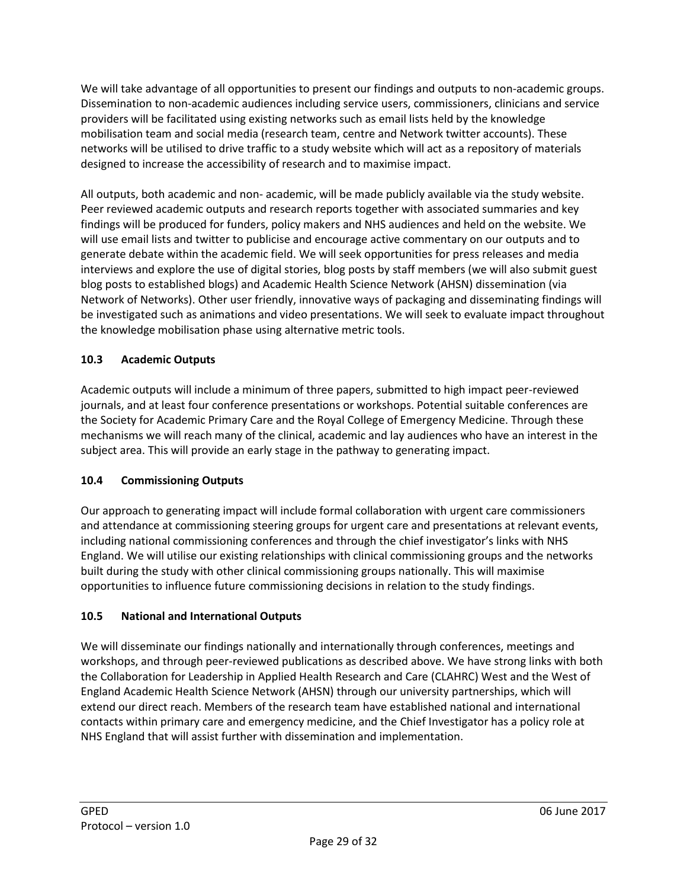We will take advantage of all opportunities to present our findings and outputs to non-academic groups. Dissemination to non-academic audiences including service users, commissioners, clinicians and service providers will be facilitated using existing networks such as email lists held by the knowledge mobilisation team and social media (research team, centre and Network twitter accounts). These networks will be utilised to drive traffic to a study website which will act as a repository of materials designed to increase the accessibility of research and to maximise impact.

All outputs, both academic and non- academic, will be made publicly available via the study website. Peer reviewed academic outputs and research reports together with associated summaries and key findings will be produced for funders, policy makers and NHS audiences and held on the website. We will use email lists and twitter to publicise and encourage active commentary on our outputs and to generate debate within the academic field. We will seek opportunities for press releases and media interviews and explore the use of digital stories, blog posts by staff members (we will also submit guest blog posts to established blogs) and Academic Health Science Network (AHSN) dissemination (via Network of Networks). Other user friendly, innovative ways of packaging and disseminating findings will be investigated such as animations and video presentations. We will seek to evaluate impact throughout the knowledge mobilisation phase using alternative metric tools.

## **10.3 Academic Outputs**

Academic outputs will include a minimum of three papers, submitted to high impact peer-reviewed journals, and at least four conference presentations or workshops. Potential suitable conferences are the Society for Academic Primary Care and the Royal College of Emergency Medicine. Through these mechanisms we will reach many of the clinical, academic and lay audiences who have an interest in the subject area. This will provide an early stage in the pathway to generating impact.

## **10.4 Commissioning Outputs**

Our approach to generating impact will include formal collaboration with urgent care commissioners and attendance at commissioning steering groups for urgent care and presentations at relevant events, including national commissioning conferences and through the chief investigator's links with NHS England. We will utilise our existing relationships with clinical commissioning groups and the networks built during the study with other clinical commissioning groups nationally. This will maximise opportunities to influence future commissioning decisions in relation to the study findings.

## **10.5 National and International Outputs**

We will disseminate our findings nationally and internationally through conferences, meetings and workshops, and through peer-reviewed publications as described above. We have strong links with both the Collaboration for Leadership in Applied Health Research and Care (CLAHRC) West and the West of England Academic Health Science Network (AHSN) through our university partnerships, which will extend our direct reach. Members of the research team have established national and international contacts within primary care and emergency medicine, and the Chief Investigator has a policy role at NHS England that will assist further with dissemination and implementation.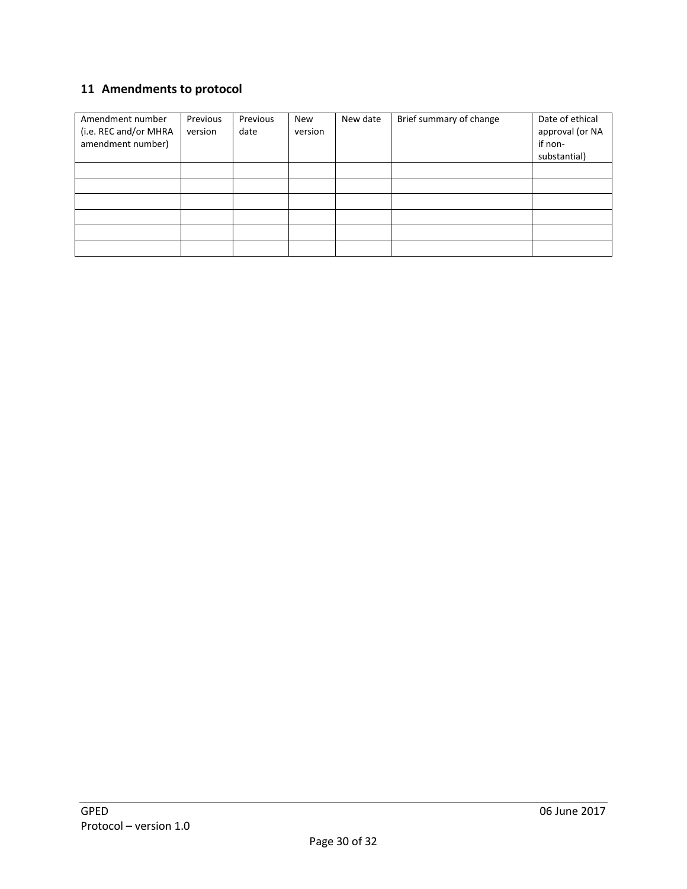# <span id="page-29-0"></span>**11 Amendments to protocol**

| Amendment number<br>(i.e. REC and/or MHRA<br>amendment number) | Previous<br>version | Previous<br>date | New<br>version | New date | Brief summary of change | Date of ethical<br>approval (or NA<br>if non-<br>substantial) |
|----------------------------------------------------------------|---------------------|------------------|----------------|----------|-------------------------|---------------------------------------------------------------|
|                                                                |                     |                  |                |          |                         |                                                               |
|                                                                |                     |                  |                |          |                         |                                                               |
|                                                                |                     |                  |                |          |                         |                                                               |
|                                                                |                     |                  |                |          |                         |                                                               |
|                                                                |                     |                  |                |          |                         |                                                               |
|                                                                |                     |                  |                |          |                         |                                                               |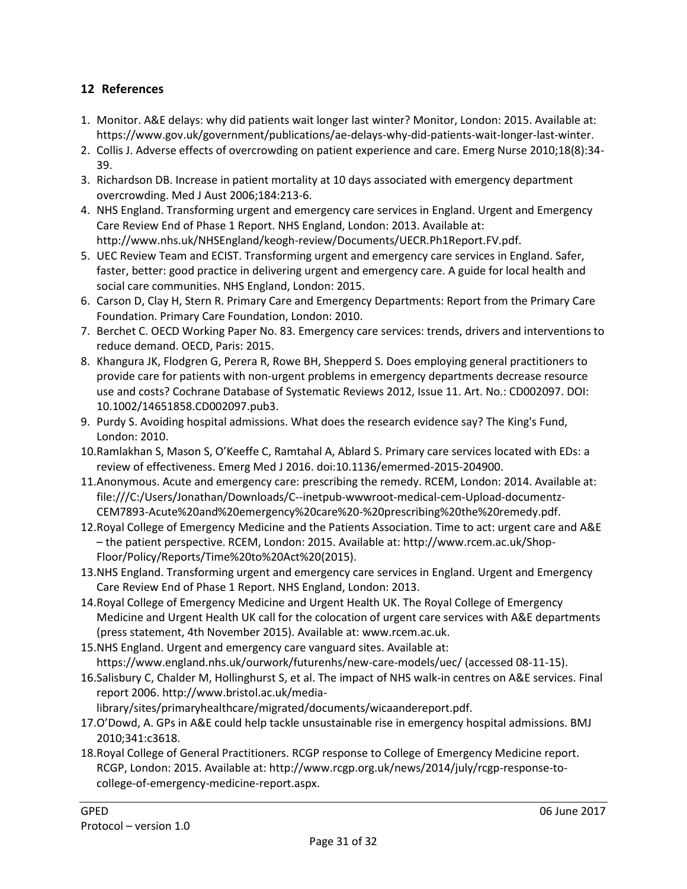## <span id="page-30-0"></span>**12 References**

- 1. Monitor. A&E delays: why did patients wait longer last winter? Monitor, London: 2015. Available at: https://www.gov.uk/government/publications/ae-delays-why-did-patients-wait-longer-last-winter.
- 2. Collis J. Adverse effects of overcrowding on patient experience and care. Emerg Nurse 2010;18(8):34- 39.
- 3. Richardson DB. Increase in patient mortality at 10 days associated with emergency department overcrowding. Med J Aust 2006;184:213-6.
- 4. NHS England. Transforming urgent and emergency care services in England. Urgent and Emergency Care Review End of Phase 1 Report. NHS England, London: 2013. Available at: http://www.nhs.uk/NHSEngland/keogh-review/Documents/UECR.Ph1Report.FV.pdf.
- 5. UEC Review Team and ECIST. Transforming urgent and emergency care services in England. Safer, faster, better: good practice in delivering urgent and emergency care. A guide for local health and social care communities. NHS England, London: 2015.
- 6. Carson D, Clay H, Stern R. Primary Care and Emergency Departments: Report from the Primary Care Foundation. Primary Care Foundation, London: 2010.
- 7. Berchet C. OECD Working Paper No. 83. Emergency care services: trends, drivers and interventions to reduce demand. OECD, Paris: 2015.
- 8. Khangura JK, Flodgren G, Perera R, Rowe BH, Shepperd S. Does employing general practitioners to provide care for patients with non-urgent problems in emergency departments decrease resource use and costs? Cochrane Database of Systematic Reviews 2012, Issue 11. Art. No.: CD002097. DOI: 10.1002/14651858.CD002097.pub3.
- 9. Purdy S. Avoiding hospital admissions. What does the research evidence say? The King's Fund, London: 2010.
- 10.Ramlakhan S, Mason S, O'Keeffe C, Ramtahal A, Ablard S. Primary care services located with EDs: a review of effectiveness. Emerg Med J 2016. doi:10.1136/emermed-2015-204900.
- 11.Anonymous. Acute and emergency care: prescribing the remedy. RCEM, London: 2014. Available at: file:///C:/Users/Jonathan/Downloads/C--inetpub-wwwroot-medical-cem-Upload-documentz-CEM7893-Acute%20and%20emergency%20care%20-%20prescribing%20the%20remedy.pdf.
- 12.Royal College of Emergency Medicine and the Patients Association. Time to act: urgent care and A&E – the patient perspective. RCEM, London: 2015. Available at: http://www.rcem.ac.uk/Shop-Floor/Policy/Reports/Time%20to%20Act%20(2015).
- 13.NHS England. Transforming urgent and emergency care services in England. Urgent and Emergency Care Review End of Phase 1 Report. NHS England, London: 2013.
- 14.Royal College of Emergency Medicine and Urgent Health UK. The Royal College of Emergency Medicine and Urgent Health UK call for the colocation of urgent care services with A&E departments (press statement, 4th November 2015). Available at: www.rcem.ac.uk.
- 15.NHS England. Urgent and emergency care vanguard sites. Available at: https://www.england.nhs.uk/ourwork/futurenhs/new-care-models/uec/ (accessed 08-11-15).
- 16.Salisbury C, Chalder M, Hollinghurst S, et al. The impact of NHS walk-in centres on A&E services. Final report 2006. http://www.bristol.ac.uk/media
	- library/sites/primaryhealthcare/migrated/documents/wicaandereport.pdf.
- 17.O'Dowd, A. GPs in A&E could help tackle unsustainable rise in emergency hospital admissions. BMJ 2010;341:c3618.
- 18.Royal College of General Practitioners. RCGP response to College of Emergency Medicine report. RCGP, London: 2015. Available at: http://www.rcgp.org.uk/news/2014/july/rcgp-response-tocollege-of-emergency-medicine-report.aspx.